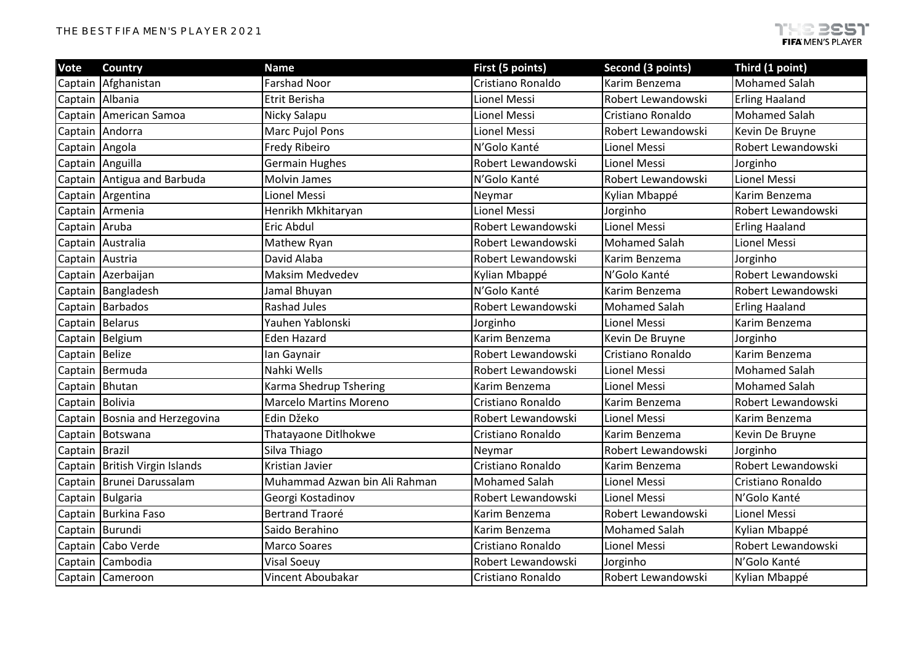| Vote            | <b>Country</b>                 | <b>Name</b>                   | First (5 points)     | Second (3 points)    | Third (1 point)       |
|-----------------|--------------------------------|-------------------------------|----------------------|----------------------|-----------------------|
|                 | Captain Afghanistan            | <b>Farshad Noor</b>           | Cristiano Ronaldo    | Karim Benzema        | <b>Mohamed Salah</b>  |
| Captain Albania |                                | Etrit Berisha                 | Lionel Messi         | Robert Lewandowski   | <b>Erling Haaland</b> |
|                 | Captain American Samoa         | Nicky Salapu                  | Lionel Messi         | Cristiano Ronaldo    | <b>Mohamed Salah</b>  |
|                 | Captain Andorra                | Marc Pujol Pons               | Lionel Messi         | Robert Lewandowski   | Kevin De Bruyne       |
| Captain Angola  |                                | Fredy Ribeiro                 | N'Golo Kanté         | Lionel Messi         | Robert Lewandowski    |
|                 | Captain Anguilla               | <b>Germain Hughes</b>         | Robert Lewandowski   | <b>Lionel Messi</b>  | Jorginho              |
|                 | Captain Antigua and Barbuda    | Molvin James                  | N'Golo Kanté         | Robert Lewandowski   | Lionel Messi          |
|                 | Captain Argentina              | Lionel Messi                  | Neymar               | Kylian Mbappé        | Karim Benzema         |
|                 | Captain Armenia                | Henrikh Mkhitaryan            | Lionel Messi         | Jorginho             | Robert Lewandowski    |
| Captain Aruba   |                                | Eric Abdul                    | Robert Lewandowski   | <b>Lionel Messi</b>  | <b>Erling Haaland</b> |
|                 | Captain Australia              | Mathew Ryan                   | Robert Lewandowski   | <b>Mohamed Salah</b> | Lionel Messi          |
| Captain Austria |                                | David Alaba                   | Robert Lewandowski   | Karim Benzema        | Jorginho              |
|                 | Captain Azerbaijan             | <b>Maksim Medvedev</b>        | Kylian Mbappé        | N'Golo Kanté         | Robert Lewandowski    |
|                 | Captain Bangladesh             | Jamal Bhuyan                  | N'Golo Kanté         | Karim Benzema        | Robert Lewandowski    |
|                 | Captain Barbados               | <b>Rashad Jules</b>           | Robert Lewandowski   | <b>Mohamed Salah</b> | <b>Erling Haaland</b> |
| Captain Belarus |                                | Yauhen Yablonski              | Jorginho             | Lionel Messi         | Karim Benzema         |
|                 | Captain Belgium                | <b>Eden Hazard</b>            | Karim Benzema        | Kevin De Bruyne      | Jorginho              |
| Captain Belize  |                                | lan Gaynair                   | Robert Lewandowski   | Cristiano Ronaldo    | Karim Benzema         |
|                 | Captain Bermuda                | Nahki Wells                   | Robert Lewandowski   | Lionel Messi         | <b>Mohamed Salah</b>  |
| Captain Bhutan  |                                | Karma Shedrup Tshering        | Karim Benzema        | Lionel Messi         | <b>Mohamed Salah</b>  |
| Captain Bolivia |                                | <b>Marcelo Martins Moreno</b> | Cristiano Ronaldo    | Karim Benzema        | Robert Lewandowski    |
|                 | Captain Bosnia and Herzegovina | Edin Džeko                    | Robert Lewandowski   | <b>Lionel Messi</b>  | Karim Benzema         |
|                 | Captain Botswana               | Thatayaone Ditlhokwe          | Cristiano Ronaldo    | Karim Benzema        | Kevin De Bruyne       |
| Captain Brazil  |                                | Silva Thiago                  | Neymar               | Robert Lewandowski   | Jorginho              |
|                 | Captain British Virgin Islands | Kristian Javier               | Cristiano Ronaldo    | Karim Benzema        | Robert Lewandowski    |
|                 | Captain Brunei Darussalam      | Muhammad Azwan bin Ali Rahman | <b>Mohamed Salah</b> | Lionel Messi         | Cristiano Ronaldo     |
|                 | Captain Bulgaria               | Georgi Kostadinov             | Robert Lewandowski   | <b>Lionel Messi</b>  | N'Golo Kanté          |
|                 | Captain Burkina Faso           | <b>Bertrand Traoré</b>        | Karim Benzema        | Robert Lewandowski   | Lionel Messi          |
| Captain Burundi |                                | Saido Berahino                | Karim Benzema        | <b>Mohamed Salah</b> | Kylian Mbappé         |
|                 | Captain Cabo Verde             | <b>Marco Soares</b>           | Cristiano Ronaldo    | Lionel Messi         | Robert Lewandowski    |
|                 | Captain Cambodia               | <b>Visal Soeuy</b>            | Robert Lewandowski   | Jorginho             | N'Golo Kanté          |
|                 | Captain Cameroon               | Vincent Aboubakar             | Cristiano Ronaldo    | Robert Lewandowski   | Kylian Mbappé         |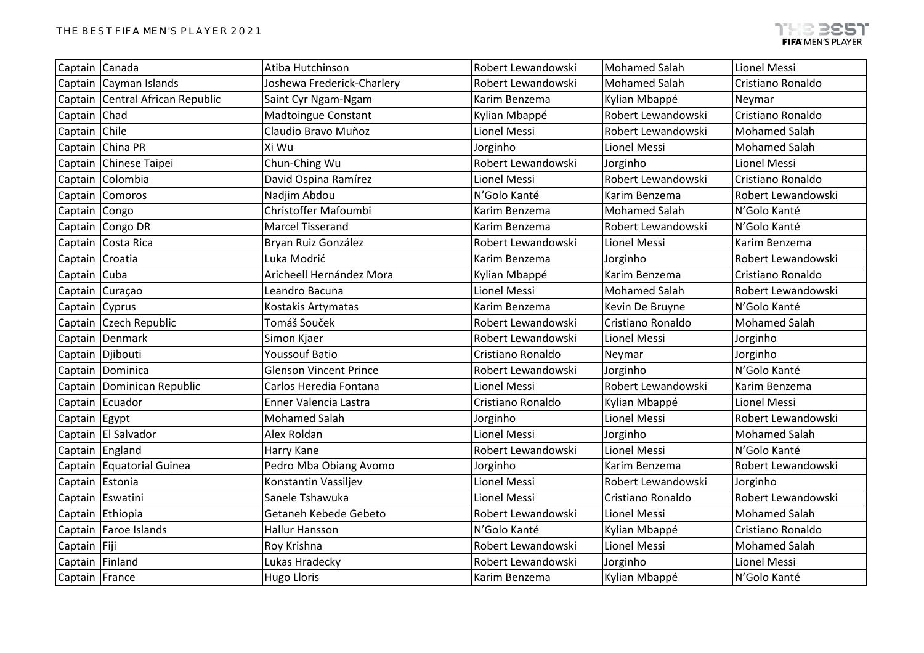| Captain Canada  |                                  | Atiba Hutchinson              | Robert Lewandowski | <b>Mohamed Salah</b> | Lionel Messi         |
|-----------------|----------------------------------|-------------------------------|--------------------|----------------------|----------------------|
|                 | Captain Cayman Islands           | Joshewa Frederick-Charlery    | Robert Lewandowski | <b>Mohamed Salah</b> | Cristiano Ronaldo    |
|                 | Captain Central African Republic | Saint Cyr Ngam-Ngam           | Karim Benzema      | Kylian Mbappé        | Neymar               |
| Captain Chad    |                                  | <b>Madtoingue Constant</b>    | Kylian Mbappé      | Robert Lewandowski   | Cristiano Ronaldo    |
| Captain Chile   |                                  | Claudio Bravo Muñoz           | Lionel Messi       | Robert Lewandowski   | <b>Mohamed Salah</b> |
|                 | Captain China PR                 | Xi Wu                         | Jorginho           | Lionel Messi         | <b>Mohamed Salah</b> |
|                 | Captain Chinese Taipei           | Chun-Ching Wu                 | Robert Lewandowski | Jorginho             | <b>Lionel Messi</b>  |
|                 | Captain Colombia                 | David Ospina Ramírez          | Lionel Messi       | Robert Lewandowski   | Cristiano Ronaldo    |
|                 | Captain Comoros                  | Nadjim Abdou                  | N'Golo Kanté       | Karim Benzema        | Robert Lewandowski   |
| Captain Congo   |                                  | Christoffer Mafoumbi          | Karim Benzema      | <b>Mohamed Salah</b> | N'Golo Kanté         |
|                 | Captain Congo DR                 | <b>Marcel Tisserand</b>       | Karim Benzema      | Robert Lewandowski   | N'Golo Kanté         |
|                 | Captain Costa Rica               | Bryan Ruiz González           | Robert Lewandowski | Lionel Messi         | Karim Benzema        |
| Captain Croatia |                                  | Luka Modrić                   | Karim Benzema      | Jorginho             | Robert Lewandowski   |
| Captain Cuba    |                                  | Aricheell Hernández Mora      | Kylian Mbappé      | Karim Benzema        | Cristiano Ronaldo    |
|                 | Captain Curaçao                  | Leandro Bacuna                | Lionel Messi       | <b>Mohamed Salah</b> | Robert Lewandowski   |
| Captain Cyprus  |                                  | Kostakis Artymatas            | Karim Benzema      | Kevin De Bruyne      | N'Golo Kanté         |
|                 | Captain Czech Republic           | Tomáš Souček                  | Robert Lewandowski | Cristiano Ronaldo    | <b>Mohamed Salah</b> |
|                 | Captain Denmark                  | Simon Kjaer                   | Robert Lewandowski | <b>Lionel Messi</b>  | Jorginho             |
|                 | Captain Djibouti                 | <b>Youssouf Batio</b>         | Cristiano Ronaldo  | Neymar               | Jorginho             |
|                 | Captain Dominica                 | <b>Glenson Vincent Prince</b> | Robert Lewandowski | Jorginho             | N'Golo Kanté         |
|                 | Captain   Dominican Republic     | Carlos Heredia Fontana        | Lionel Messi       | Robert Lewandowski   | Karim Benzema        |
|                 | Captain Ecuador                  | Enner Valencia Lastra         | Cristiano Ronaldo  | Kylian Mbappé        | <b>Lionel Messi</b>  |
| Captain Egypt   |                                  | <b>Mohamed Salah</b>          | Jorginho           | Lionel Messi         | Robert Lewandowski   |
|                 | Captain El Salvador              | Alex Roldan                   | Lionel Messi       | Jorginho             | <b>Mohamed Salah</b> |
| Captain England |                                  | Harry Kane                    | Robert Lewandowski | Lionel Messi         | N'Golo Kanté         |
|                 | Captain Equatorial Guinea        | Pedro Mba Obiang Avomo        | Jorginho           | Karim Benzema        | Robert Lewandowski   |
| Captain Estonia |                                  | Konstantin Vassiljev          | Lionel Messi       | Robert Lewandowski   | Jorginho             |
|                 | Captain Eswatini                 | Sanele Tshawuka               | Lionel Messi       | Cristiano Ronaldo    | Robert Lewandowski   |
|                 | Captain Ethiopia                 | Getaneh Kebede Gebeto         | Robert Lewandowski | Lionel Messi         | <b>Mohamed Salah</b> |
|                 | Captain   Faroe Islands          | <b>Hallur Hansson</b>         | N'Golo Kanté       | Kylian Mbappé        | Cristiano Ronaldo    |
| Captain Fiji    |                                  | Roy Krishna                   | Robert Lewandowski | Lionel Messi         | <b>Mohamed Salah</b> |
| Captain Finland |                                  | Lukas Hradecky                | Robert Lewandowski | Jorginho             | <b>Lionel Messi</b>  |
| Captain France  |                                  | <b>Hugo Lloris</b>            | Karim Benzema      | Kylian Mbappé        | N'Golo Kanté         |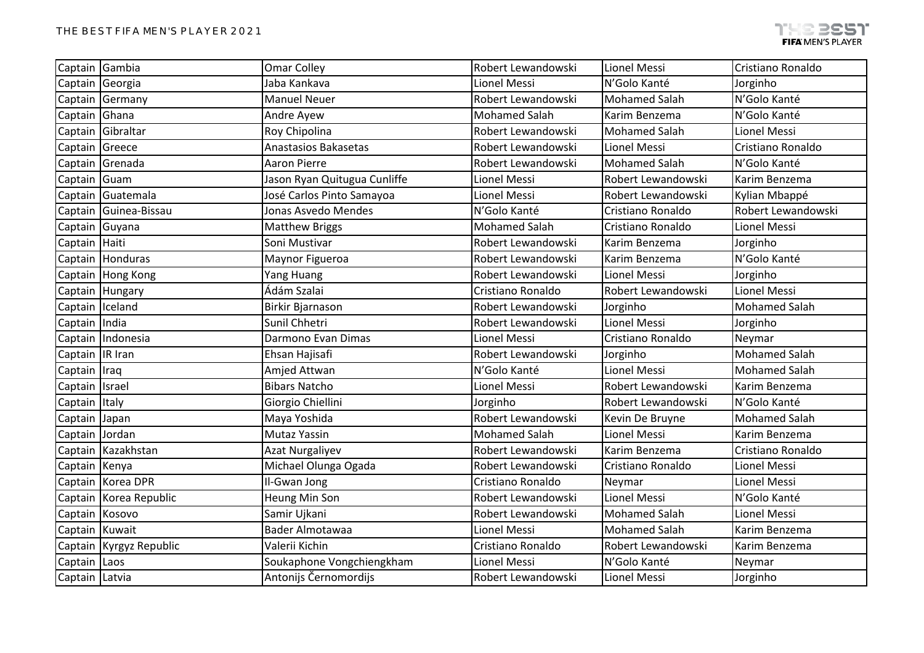| Captain Gambia  |                         | <b>Omar Colley</b>           | Robert Lewandowski   | Lionel Messi         | Cristiano Ronaldo    |
|-----------------|-------------------------|------------------------------|----------------------|----------------------|----------------------|
| Captain Georgia |                         | Jaba Kankava                 | Lionel Messi         | N'Golo Kanté         | Jorginho             |
|                 | Captain Germany         | <b>Manuel Neuer</b>          | Robert Lewandowski   | <b>Mohamed Salah</b> | N'Golo Kanté         |
| Captain Ghana   |                         | Andre Ayew                   | <b>Mohamed Salah</b> | Karim Benzema        | N'Golo Kanté         |
|                 | Captain Gibraltar       | Roy Chipolina                | Robert Lewandowski   | <b>Mohamed Salah</b> | Lionel Messi         |
| Captain Greece  |                         | <b>Anastasios Bakasetas</b>  | Robert Lewandowski   | <b>Lionel Messi</b>  | Cristiano Ronaldo    |
|                 | Captain Grenada         | <b>Aaron Pierre</b>          | Robert Lewandowski   | <b>Mohamed Salah</b> | N'Golo Kanté         |
| Captain Guam    |                         | Jason Ryan Quitugua Cunliffe | Lionel Messi         | Robert Lewandowski   | Karim Benzema        |
|                 | Captain Guatemala       | José Carlos Pinto Samayoa    | Lionel Messi         | Robert Lewandowski   | Kylian Mbappé        |
|                 | Captain Guinea-Bissau   | Jonas Asvedo Mendes          | N'Golo Kanté         | Cristiano Ronaldo    | Robert Lewandowski   |
| Captain Guyana  |                         | <b>Matthew Briggs</b>        | <b>Mohamed Salah</b> | Cristiano Ronaldo    | Lionel Messi         |
| Captain Haiti   |                         | Soni Mustivar                | Robert Lewandowski   | Karim Benzema        | Jorginho             |
|                 | Captain Honduras        | Maynor Figueroa              | Robert Lewandowski   | Karim Benzema        | N'Golo Kanté         |
|                 | Captain Hong Kong       | Yang Huang                   | Robert Lewandowski   | <b>Lionel Messi</b>  | Jorginho             |
|                 | Captain Hungary         | Ádám Szalai                  | Cristiano Ronaldo    | Robert Lewandowski   | Lionel Messi         |
| Captain Iceland |                         | Birkir Bjarnason             | Robert Lewandowski   | Jorginho             | <b>Mohamed Salah</b> |
| Captain India   |                         | Sunil Chhetri                | Robert Lewandowski   | Lionel Messi         | Jorginho             |
|                 | Captain Indonesia       | Darmono Evan Dimas           | Lionel Messi         | Cristiano Ronaldo    | Neymar               |
| Captain IR Iran |                         | Ehsan Hajisafi               | Robert Lewandowski   | Jorginho             | <b>Mohamed Salah</b> |
| Captain   Iraq  |                         | Amjed Attwan                 | N'Golo Kanté         | Lionel Messi         | <b>Mohamed Salah</b> |
| Captain Israel  |                         | <b>Bibars Natcho</b>         | Lionel Messi         | Robert Lewandowski   | Karim Benzema        |
| Captain         | Italy                   | Giorgio Chiellini            | Jorginho             | Robert Lewandowski   | N'Golo Kanté         |
| Captain         | Japan                   | Maya Yoshida                 | Robert Lewandowski   | Kevin De Bruyne      | <b>Mohamed Salah</b> |
| Captain         | Jordan                  | <b>Mutaz Yassin</b>          | <b>Mohamed Salah</b> | Lionel Messi         | Karim Benzema        |
|                 | Captain Kazakhstan      | <b>Azat Nurgaliyev</b>       | Robert Lewandowski   | Karim Benzema        | Cristiano Ronaldo    |
| Captain Kenya   |                         | Michael Olunga Ogada         | Robert Lewandowski   | Cristiano Ronaldo    | Lionel Messi         |
|                 | Captain Korea DPR       | Il-Gwan Jong                 | Cristiano Ronaldo    | Neymar               | Lionel Messi         |
|                 | Captain Korea Republic  | Heung Min Son                | Robert Lewandowski   | Lionel Messi         | N'Golo Kanté         |
| Captain Kosovo  |                         | Samir Ujkani                 | Robert Lewandowski   | <b>Mohamed Salah</b> | Lionel Messi         |
| Captain Kuwait  |                         | Bader Almotawaa              | Lionel Messi         | <b>Mohamed Salah</b> | Karim Benzema        |
|                 | Captain Kyrgyz Republic | Valerii Kichin               | Cristiano Ronaldo    | Robert Lewandowski   | Karim Benzema        |
| Captain Laos    |                         | Soukaphone Vongchiengkham    | Lionel Messi         | N'Golo Kanté         | Neymar               |
| Captain Latvia  |                         | Antonijs Černomordijs        | Robert Lewandowski   | Lionel Messi         | Jorginho             |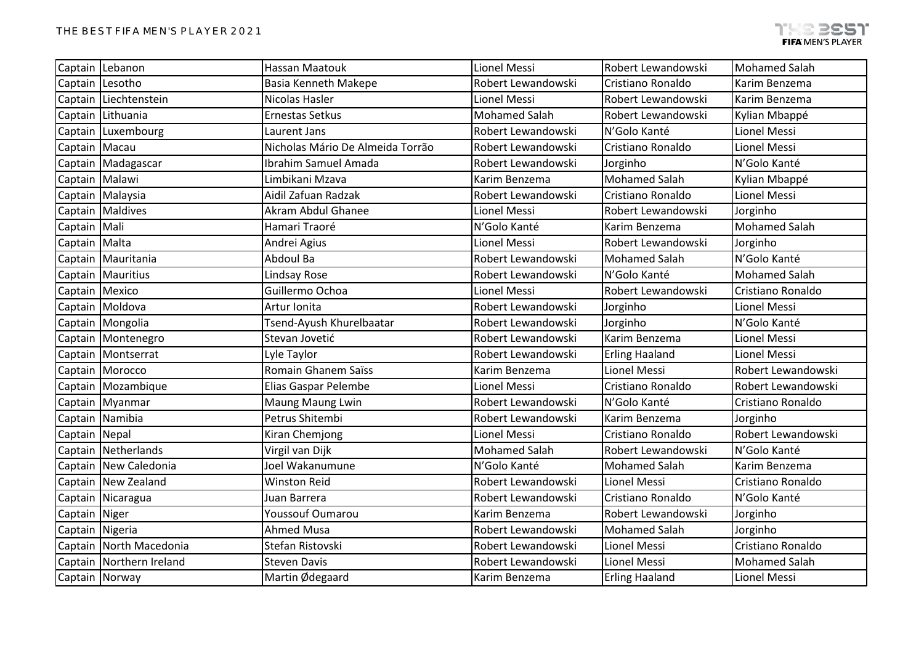|                 | Captain Lebanon          | <b>Hassan Maatouk</b>            | Lionel Messi         | Robert Lewandowski    | <b>Mohamed Salah</b> |  |
|-----------------|--------------------------|----------------------------------|----------------------|-----------------------|----------------------|--|
| Captain Lesotho |                          | <b>Basia Kenneth Makepe</b>      | Robert Lewandowski   | Cristiano Ronaldo     | Karim Benzema        |  |
|                 | Captain Liechtenstein    | Nicolas Hasler                   | <b>Lionel Messi</b>  | Robert Lewandowski    | Karim Benzema        |  |
|                 | Captain Lithuania        | <b>Ernestas Setkus</b>           | <b>Mohamed Salah</b> | Robert Lewandowski    | Kylian Mbappé        |  |
|                 | Captain Luxembourg       | Laurent Jans                     | Robert Lewandowski   | N'Golo Kanté          | Lionel Messi         |  |
| Captain Macau   |                          | Nicholas Mário De Almeida Torrão | Robert Lewandowski   | Cristiano Ronaldo     | Lionel Messi         |  |
|                 | Captain Madagascar       | Ibrahim Samuel Amada             | Robert Lewandowski   | Jorginho              | N'Golo Kanté         |  |
| Captain Malawi  |                          | Limbikani Mzava                  | Karim Benzema        | <b>Mohamed Salah</b>  | Kylian Mbappé        |  |
|                 | Captain Malaysia         | Aidil Zafuan Radzak              | Robert Lewandowski   | Cristiano Ronaldo     | Lionel Messi         |  |
|                 | Captain Maldives         | Akram Abdul Ghanee               | Lionel Messi         | Robert Lewandowski    | Jorginho             |  |
| Captain   Mali  |                          | Hamari Traoré                    | N'Golo Kanté         | Karim Benzema         | <b>Mohamed Salah</b> |  |
| Captain   Malta |                          | Andrei Agius                     | Lionel Messi         | Robert Lewandowski    | Jorginho             |  |
|                 | Captain Mauritania       | Abdoul Ba                        | Robert Lewandowski   | <b>Mohamed Salah</b>  | N'Golo Kanté         |  |
|                 | Captain   Mauritius      | Lindsay Rose                     | Robert Lewandowski   | N'Golo Kanté          | <b>Mohamed Salah</b> |  |
| Captain Mexico  |                          | Guillermo Ochoa                  | Lionel Messi         | Robert Lewandowski    | Cristiano Ronaldo    |  |
|                 | Captain Moldova          | Artur Ionita                     | Robert Lewandowski   | Jorginho              | Lionel Messi         |  |
|                 | Captain Mongolia         | Tsend-Ayush Khurelbaatar         | Robert Lewandowski   | Jorginho              | N'Golo Kanté         |  |
|                 | Captain Montenegro       | Stevan Jovetić                   | Robert Lewandowski   | Karim Benzema         | Lionel Messi         |  |
|                 | Captain   Montserrat     | Lyle Taylor                      | Robert Lewandowski   | <b>Erling Haaland</b> | Lionel Messi         |  |
|                 | Captain   Morocco        | Romain Ghanem Saïss              | Karim Benzema        | Lionel Messi          | Robert Lewandowski   |  |
|                 | Captain Mozambique       | Elias Gaspar Pelembe             | Lionel Messi         | Cristiano Ronaldo     | Robert Lewandowski   |  |
|                 | Captain Myanmar          | Maung Maung Lwin                 | Robert Lewandowski   | N'Golo Kanté          | Cristiano Ronaldo    |  |
|                 | Captain Namibia          | Petrus Shitembi                  | Robert Lewandowski   | Karim Benzema         | Jorginho             |  |
| Captain Nepal   |                          | Kiran Chemjong                   | Lionel Messi         | Cristiano Ronaldo     | Robert Lewandowski   |  |
|                 | Captain Netherlands      | Virgil van Dijk                  | <b>Mohamed Salah</b> | Robert Lewandowski    | N'Golo Kanté         |  |
|                 | Captain New Caledonia    | Joel Wakanumune                  | N'Golo Kanté         | <b>Mohamed Salah</b>  | Karim Benzema        |  |
|                 | Captain New Zealand      | <b>Winston Reid</b>              | Robert Lewandowski   | <b>Lionel Messi</b>   | Cristiano Ronaldo    |  |
|                 | Captain Nicaragua        | Juan Barrera                     | Robert Lewandowski   | Cristiano Ronaldo     | N'Golo Kanté         |  |
| Captain Niger   |                          | Youssouf Oumarou                 | Karim Benzema        | Robert Lewandowski    | Jorginho             |  |
| Captain Nigeria |                          | <b>Ahmed Musa</b>                | Robert Lewandowski   | <b>Mohamed Salah</b>  | Jorginho             |  |
|                 | Captain North Macedonia  | Stefan Ristovski                 | Robert Lewandowski   | Lionel Messi          | Cristiano Ronaldo    |  |
|                 | Captain Northern Ireland | <b>Steven Davis</b>              | Robert Lewandowski   | Lionel Messi          | <b>Mohamed Salah</b> |  |
| Captain Norway  |                          | Martin Ødegaard                  | Karim Benzema        | <b>Erling Haaland</b> | Lionel Messi         |  |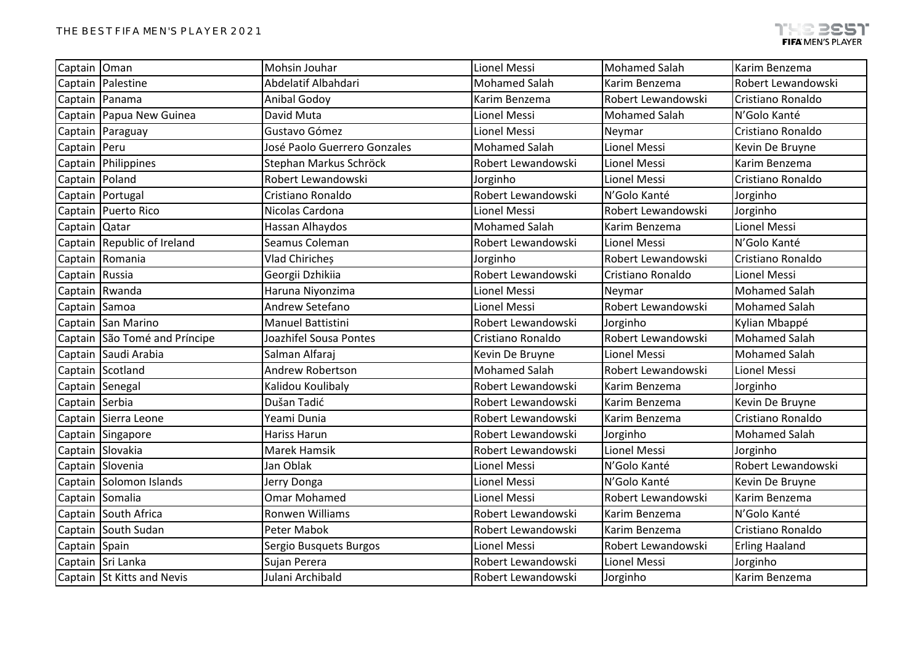| Captain Oman   |                               | Mohsin Jouhar                | Lionel Messi         | <b>Mohamed Salah</b> | Karim Benzema         |
|----------------|-------------------------------|------------------------------|----------------------|----------------------|-----------------------|
|                | Captain Palestine             | Abdelatif Albahdari          | <b>Mohamed Salah</b> | Karim Benzema        | Robert Lewandowski    |
|                | Captain Panama                | Anibal Godoy                 | Karim Benzema        | Robert Lewandowski   | Cristiano Ronaldo     |
|                | Captain Papua New Guinea      | David Muta                   | Lionel Messi         | <b>Mohamed Salah</b> | N'Golo Kanté          |
|                | Captain Paraguay              | Gustavo Gómez                | Lionel Messi         | Neymar               | Cristiano Ronaldo     |
| Captain Peru   |                               | José Paolo Guerrero Gonzales | <b>Mohamed Salah</b> | Lionel Messi         | Kevin De Bruyne       |
|                | Captain Philippines           | Stephan Markus Schröck       | Robert Lewandowski   | Lionel Messi         | Karim Benzema         |
| Captain Poland |                               | Robert Lewandowski           | Jorginho             | Lionel Messi         | Cristiano Ronaldo     |
|                | Captain Portugal              | Cristiano Ronaldo            | Robert Lewandowski   | N'Golo Kanté         | Jorginho              |
|                | Captain   Puerto Rico         | Nicolas Cardona              | Lionel Messi         | Robert Lewandowski   | Jorginho              |
| Captain Qatar  |                               | Hassan Alhaydos              | <b>Mohamed Salah</b> | Karim Benzema        | <b>Lionel Messi</b>   |
|                | Captain Republic of Ireland   | Seamus Coleman               | Robert Lewandowski   | Lionel Messi         | N'Golo Kanté          |
|                | Captain Romania               | Vlad Chiriches               | Jorginho             | Robert Lewandowski   | Cristiano Ronaldo     |
| Captain Russia |                               | Georgii Dzhikiia             | Robert Lewandowski   | Cristiano Ronaldo    | <b>Lionel Messi</b>   |
|                | Captain Rwanda                | Haruna Niyonzima             | Lionel Messi         | Neymar               | <b>Mohamed Salah</b>  |
| Captain Samoa  |                               | Andrew Setefano              | Lionel Messi         | Robert Lewandowski   | <b>Mohamed Salah</b>  |
|                | Captain San Marino            | Manuel Battistini            | Robert Lewandowski   | Jorginho             | Kylian Mbappé         |
|                | Captain São Tomé and Príncipe | Joazhifel Sousa Pontes       | Cristiano Ronaldo    | Robert Lewandowski   | <b>Mohamed Salah</b>  |
|                | Captain Saudi Arabia          | Salman Alfaraj               | Kevin De Bruyne      | Lionel Messi         | <b>Mohamed Salah</b>  |
|                | Captain Scotland              | Andrew Robertson             | <b>Mohamed Salah</b> | Robert Lewandowski   | Lionel Messi          |
|                | Captain Senegal               | Kalidou Koulibaly            | Robert Lewandowski   | Karim Benzema        | Jorginho              |
| Captain Serbia |                               | Dušan Tadić                  | Robert Lewandowski   | Karim Benzema        | Kevin De Bruyne       |
|                | Captain Sierra Leone          | Yeami Dunia                  | Robert Lewandowski   | Karim Benzema        | Cristiano Ronaldo     |
|                | Captain Singapore             | Hariss Harun                 | Robert Lewandowski   | Jorginho             | <b>Mohamed Salah</b>  |
|                | Captain Slovakia              | Marek Hamsik                 | Robert Lewandowski   | Lionel Messi         | Jorginho              |
|                | Captain Slovenia              | Jan Oblak                    | Lionel Messi         | N'Golo Kanté         | Robert Lewandowski    |
|                | Captain Solomon Islands       | Jerry Donga                  | Lionel Messi         | N'Golo Kanté         | Kevin De Bruyne       |
|                | Captain Somalia               | <b>Omar Mohamed</b>          | Lionel Messi         | Robert Lewandowski   | Karim Benzema         |
|                | Captain South Africa          | Ronwen Williams              | Robert Lewandowski   | Karim Benzema        | N'Golo Kanté          |
|                | Captain South Sudan           | Peter Mabok                  | Robert Lewandowski   | Karim Benzema        | Cristiano Ronaldo     |
| Captain Spain  |                               | Sergio Busquets Burgos       | Lionel Messi         | Robert Lewandowski   | <b>Erling Haaland</b> |
|                | Captain Sri Lanka             | Sujan Perera                 | Robert Lewandowski   | Lionel Messi         | Jorginho              |
|                | Captain St Kitts and Nevis    | Julani Archibald             | Robert Lewandowski   | Jorginho             | Karim Benzema         |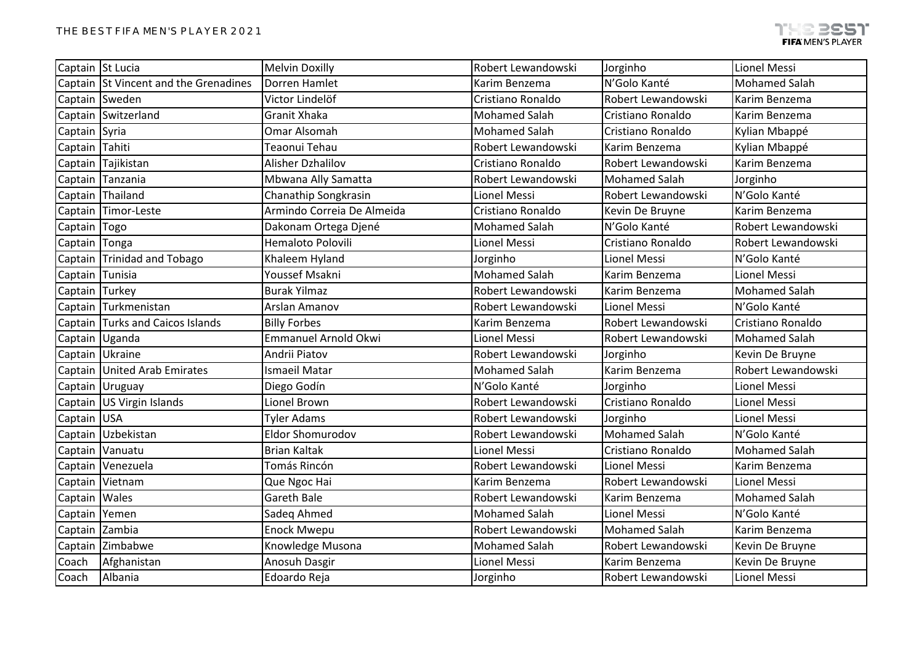| Captain St Lucia |                                       | <b>Melvin Doxilly</b>       | Robert Lewandowski   | Jorginho             | Lionel Messi         |
|------------------|---------------------------------------|-----------------------------|----------------------|----------------------|----------------------|
|                  | Captain St Vincent and the Grenadines | Dorren Hamlet               | Karim Benzema        | N'Golo Kanté         | <b>Mohamed Salah</b> |
|                  | Captain Sweden                        | Victor Lindelöf             | Cristiano Ronaldo    | Robert Lewandowski   | Karim Benzema        |
|                  | Captain Switzerland                   | Granit Xhaka                | <b>Mohamed Salah</b> | Cristiano Ronaldo    | Karim Benzema        |
| Captain Syria    |                                       | Omar Alsomah                | <b>Mohamed Salah</b> | Cristiano Ronaldo    | Kylian Mbappé        |
| Captain          | Tahiti                                | Teaonui Tehau               | Robert Lewandowski   | Karim Benzema        | Kylian Mbappé        |
|                  | Captain Tajikistan                    | Alisher Dzhalilov           | Cristiano Ronaldo    | Robert Lewandowski   | Karim Benzema        |
| Captain          | Tanzania                              | Mbwana Ally Samatta         | Robert Lewandowski   | <b>Mohamed Salah</b> | Jorginho             |
|                  | Captain Thailand                      | Chanathip Songkrasin        | Lionel Messi         | Robert Lewandowski   | N'Golo Kanté         |
|                  | Captain Timor-Leste                   | Armindo Correia De Almeida  | Cristiano Ronaldo    | Kevin De Bruyne      | Karim Benzema        |
| Captain Togo     |                                       | Dakonam Ortega Djené        | <b>Mohamed Salah</b> | N'Golo Kanté         | Robert Lewandowski   |
| Captain Tonga    |                                       | Hemaloto Polovili           | Lionel Messi         | Cristiano Ronaldo    | Robert Lewandowski   |
|                  | Captain Trinidad and Tobago           | Khaleem Hyland              | Jorginho             | Lionel Messi         | N'Golo Kanté         |
| Captain Tunisia  |                                       | Youssef Msakni              | <b>Mohamed Salah</b> | Karim Benzema        | <b>Lionel Messi</b>  |
| Captain Turkey   |                                       | <b>Burak Yilmaz</b>         | Robert Lewandowski   | Karim Benzema        | <b>Mohamed Salah</b> |
|                  | Captain Turkmenistan                  | Arslan Amanov               | Robert Lewandowski   | Lionel Messi         | N'Golo Kanté         |
|                  | Captain Turks and Caicos Islands      | <b>Billy Forbes</b>         | Karim Benzema        | Robert Lewandowski   | Cristiano Ronaldo    |
|                  | Captain Uganda                        | <b>Emmanuel Arnold Okwi</b> | Lionel Messi         | Robert Lewandowski   | <b>Mohamed Salah</b> |
|                  | Captain Ukraine                       | Andrii Piatov               | Robert Lewandowski   | Jorginho             | Kevin De Bruyne      |
|                  | Captain United Arab Emirates          | Ismaeil Matar               | <b>Mohamed Salah</b> | Karim Benzema        | Robert Lewandowski   |
|                  | Captain Uruguay                       | Diego Godín                 | N'Golo Kanté         | Jorginho             | Lionel Messi         |
|                  | Captain US Virgin Islands             | Lionel Brown                | Robert Lewandowski   | Cristiano Ronaldo    | Lionel Messi         |
| Captain USA      |                                       | <b>Tyler Adams</b>          | Robert Lewandowski   | Jorginho             | Lionel Messi         |
|                  | Captain Uzbekistan                    | <b>Eldor Shomurodov</b>     | Robert Lewandowski   | <b>Mohamed Salah</b> | N'Golo Kanté         |
|                  | Captain Vanuatu                       | <b>Brian Kaltak</b>         | Lionel Messi         | Cristiano Ronaldo    | <b>Mohamed Salah</b> |
|                  | Captain   Venezuela                   | Tomás Rincón                | Robert Lewandowski   | <b>Lionel Messi</b>  | Karim Benzema        |
|                  | Captain Vietnam                       | Que Ngoc Hai                | Karim Benzema        | Robert Lewandowski   | <b>Lionel Messi</b>  |
| Captain Wales    |                                       | <b>Gareth Bale</b>          | Robert Lewandowski   | Karim Benzema        | <b>Mohamed Salah</b> |
| Captain          | Yemen                                 | Sadeg Ahmed                 | <b>Mohamed Salah</b> | Lionel Messi         | N'Golo Kanté         |
| Captain Zambia   |                                       | <b>Enock Mwepu</b>          | Robert Lewandowski   | <b>Mohamed Salah</b> | Karim Benzema        |
|                  | Captain Zimbabwe                      | Knowledge Musona            | <b>Mohamed Salah</b> | Robert Lewandowski   | Kevin De Bruyne      |
| Coach            | Afghanistan                           | Anosuh Dasgir               | Lionel Messi         | Karim Benzema        | Kevin De Bruyne      |
| Coach            | Albania                               | Edoardo Reja                | Jorginho             | Robert Lewandowski   | <b>Lionel Messi</b>  |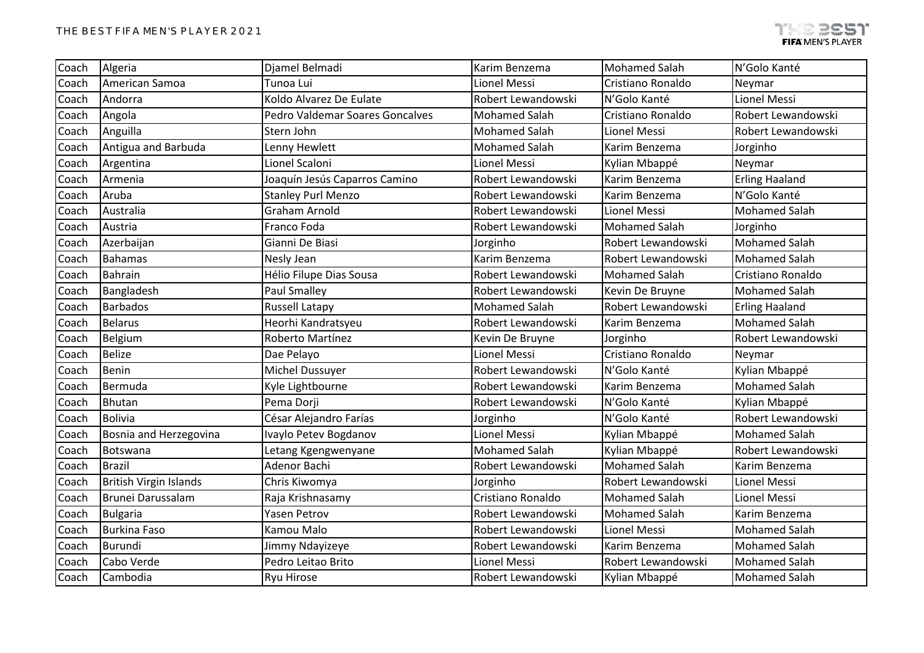| Coach | Algeria                       | Djamel Belmadi                  | Karim Benzema        | <b>Mohamed Salah</b> | N'Golo Kanté          |
|-------|-------------------------------|---------------------------------|----------------------|----------------------|-----------------------|
| Coach | American Samoa                | Tunoa Lui                       | Lionel Messi         | Cristiano Ronaldo    | Neymar                |
| Coach | Andorra                       | Koldo Alvarez De Eulate         | Robert Lewandowski   | N'Golo Kanté         | Lionel Messi          |
| Coach | Angola                        | Pedro Valdemar Soares Goncalves | <b>Mohamed Salah</b> | Cristiano Ronaldo    | Robert Lewandowski    |
| Coach | Anguilla                      | Stern John                      | <b>Mohamed Salah</b> | Lionel Messi         | Robert Lewandowski    |
| Coach | Antigua and Barbuda           | Lenny Hewlett                   | <b>Mohamed Salah</b> | Karim Benzema        | Jorginho              |
| Coach | Argentina                     | Lionel Scaloni                  | Lionel Messi         | Kylian Mbappé        | Neymar                |
| Coach | Armenia                       | Joaquín Jesús Caparros Camino   | Robert Lewandowski   | Karim Benzema        | <b>Erling Haaland</b> |
| Coach | Aruba                         | <b>Stanley Purl Menzo</b>       | Robert Lewandowski   | Karim Benzema        | N'Golo Kanté          |
| Coach | Australia                     | <b>Graham Arnold</b>            | Robert Lewandowski   | <b>Lionel Messi</b>  | <b>Mohamed Salah</b>  |
| Coach | Austria                       | Franco Foda                     | Robert Lewandowski   | <b>Mohamed Salah</b> | Jorginho              |
| Coach | Azerbaijan                    | Gianni De Biasi                 | Jorginho             | Robert Lewandowski   | <b>Mohamed Salah</b>  |
| Coach | <b>Bahamas</b>                | Nesly Jean                      | Karim Benzema        | Robert Lewandowski   | <b>Mohamed Salah</b>  |
| Coach | Bahrain                       | Hélio Filupe Dias Sousa         | Robert Lewandowski   | <b>Mohamed Salah</b> | Cristiano Ronaldo     |
| Coach | Bangladesh                    | <b>Paul Smalley</b>             | Robert Lewandowski   | Kevin De Bruyne      | <b>Mohamed Salah</b>  |
| Coach | <b>Barbados</b>               | <b>Russell Latapy</b>           | <b>Mohamed Salah</b> | Robert Lewandowski   | <b>Erling Haaland</b> |
| Coach | <b>Belarus</b>                | Heorhi Kandratsyeu              | Robert Lewandowski   | Karim Benzema        | <b>Mohamed Salah</b>  |
| Coach | Belgium                       | Roberto Martínez                | Kevin De Bruyne      | Jorginho             | Robert Lewandowski    |
| Coach | <b>Belize</b>                 | Dae Pelayo                      | Lionel Messi         | Cristiano Ronaldo    | Neymar                |
| Coach | Benin                         | Michel Dussuyer                 | Robert Lewandowski   | N'Golo Kanté         | Kylian Mbappé         |
| Coach | Bermuda                       | Kyle Lightbourne                | Robert Lewandowski   | Karim Benzema        | <b>Mohamed Salah</b>  |
| Coach | <b>Bhutan</b>                 | Pema Dorji                      | Robert Lewandowski   | N'Golo Kanté         | Kylian Mbappé         |
| Coach | <b>Bolivia</b>                | César Alejandro Farías          | Jorginho             | N'Golo Kanté         | Robert Lewandowski    |
| Coach | Bosnia and Herzegovina        | Ivaylo Petev Bogdanov           | Lionel Messi         | Kylian Mbappé        | <b>Mohamed Salah</b>  |
| Coach | Botswana                      | Letang Kgengwenyane             | <b>Mohamed Salah</b> | Kylian Mbappé        | Robert Lewandowski    |
| Coach | <b>Brazil</b>                 | Adenor Bachi                    | Robert Lewandowski   | <b>Mohamed Salah</b> | Karim Benzema         |
| Coach | <b>British Virgin Islands</b> | Chris Kiwomya                   | Jorginho             | Robert Lewandowski   | <b>Lionel Messi</b>   |
| Coach | Brunei Darussalam             | Raja Krishnasamy                | Cristiano Ronaldo    | <b>Mohamed Salah</b> | Lionel Messi          |
| Coach | <b>Bulgaria</b>               | Yasen Petrov                    | Robert Lewandowski   | <b>Mohamed Salah</b> | Karim Benzema         |
| Coach | <b>Burkina Faso</b>           | Kamou Malo                      | Robert Lewandowski   | Lionel Messi         | <b>Mohamed Salah</b>  |
| Coach | <b>Burundi</b>                | Jimmy Ndayizeye                 | Robert Lewandowski   | Karim Benzema        | <b>Mohamed Salah</b>  |
| Coach | Cabo Verde                    | Pedro Leitao Brito              | Lionel Messi         | Robert Lewandowski   | <b>Mohamed Salah</b>  |
| Coach | Cambodia                      | Ryu Hirose                      | Robert Lewandowski   | Kylian Mbappé        | <b>Mohamed Salah</b>  |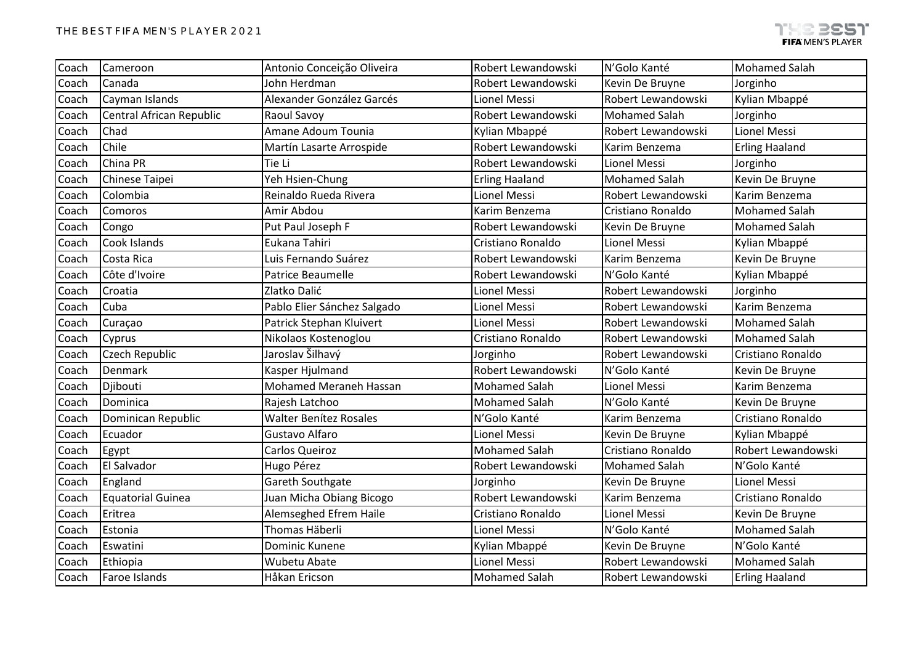| Coach | Cameroon                 | Antonio Conceição Oliveira    | Robert Lewandowski    | N'Golo Kanté         | <b>Mohamed Salah</b>  |
|-------|--------------------------|-------------------------------|-----------------------|----------------------|-----------------------|
| Coach | Canada                   | John Herdman                  | Robert Lewandowski    | Kevin De Bruyne      | Jorginho              |
| Coach | Cayman Islands           | Alexander González Garcés     | Lionel Messi          | Robert Lewandowski   | Kylian Mbappé         |
| Coach | Central African Republic | Raoul Savoy                   | Robert Lewandowski    | <b>Mohamed Salah</b> | Jorginho              |
| Coach | Chad                     | Amane Adoum Tounia            | Kylian Mbappé         | Robert Lewandowski   | Lionel Messi          |
| Coach | Chile                    | Martín Lasarte Arrospide      | Robert Lewandowski    | Karim Benzema        | <b>Erling Haaland</b> |
| Coach | China PR                 | Tie Li                        | Robert Lewandowski    | Lionel Messi         | Jorginho              |
| Coach | Chinese Taipei           | Yeh Hsien-Chung               | <b>Erling Haaland</b> | <b>Mohamed Salah</b> | Kevin De Bruyne       |
| Coach | Colombia                 | Reinaldo Rueda Rivera         | Lionel Messi          | Robert Lewandowski   | Karim Benzema         |
| Coach | Comoros                  | Amir Abdou                    | Karim Benzema         | Cristiano Ronaldo    | <b>Mohamed Salah</b>  |
| Coach | Congo                    | Put Paul Joseph F             | Robert Lewandowski    | Kevin De Bruyne      | <b>Mohamed Salah</b>  |
| Coach | Cook Islands             | Eukana Tahiri                 | Cristiano Ronaldo     | <b>Lionel Messi</b>  | Kylian Mbappé         |
| Coach | Costa Rica               | Luis Fernando Suárez          | Robert Lewandowski    | Karim Benzema        | Kevin De Bruyne       |
| Coach | Côte d'Ivoire            | <b>Patrice Beaumelle</b>      | Robert Lewandowski    | N'Golo Kanté         | Kylian Mbappé         |
| Coach | Croatia                  | Zlatko Dalić                  | Lionel Messi          | Robert Lewandowski   | Jorginho              |
| Coach | Cuba                     | Pablo Elier Sánchez Salgado   | Lionel Messi          | Robert Lewandowski   | Karim Benzema         |
| Coach | Curaçao                  | Patrick Stephan Kluivert      | Lionel Messi          | Robert Lewandowski   | <b>Mohamed Salah</b>  |
| Coach | Cyprus                   | Nikolaos Kostenoglou          | Cristiano Ronaldo     | Robert Lewandowski   | <b>Mohamed Salah</b>  |
| Coach | Czech Republic           | Jaroslav Šilhavý              | Jorginho              | Robert Lewandowski   | Cristiano Ronaldo     |
| Coach | <b>Denmark</b>           | Kasper Hjulmand               | Robert Lewandowski    | N'Golo Kanté         | Kevin De Bruyne       |
| Coach | Djibouti                 | <b>Mohamed Meraneh Hassan</b> | <b>Mohamed Salah</b>  | <b>Lionel Messi</b>  | Karim Benzema         |
| Coach | Dominica                 | Rajesh Latchoo                | <b>Mohamed Salah</b>  | N'Golo Kanté         | Kevin De Bruyne       |
| Coach | Dominican Republic       | <b>Walter Benítez Rosales</b> | N'Golo Kanté          | Karim Benzema        | Cristiano Ronaldo     |
| Coach | Ecuador                  | Gustavo Alfaro                | Lionel Messi          | Kevin De Bruyne      | Kylian Mbappé         |
| Coach | Egypt                    | <b>Carlos Queiroz</b>         | <b>Mohamed Salah</b>  | Cristiano Ronaldo    | Robert Lewandowski    |
| Coach | El Salvador              | Hugo Pérez                    | Robert Lewandowski    | <b>Mohamed Salah</b> | N'Golo Kanté          |
| Coach | England                  | Gareth Southgate              | Jorginho              | Kevin De Bruyne      | Lionel Messi          |
| Coach | <b>Equatorial Guinea</b> | Juan Micha Obiang Bicogo      | Robert Lewandowski    | Karim Benzema        | Cristiano Ronaldo     |
| Coach | Eritrea                  | Alemseghed Efrem Haile        | Cristiano Ronaldo     | Lionel Messi         | Kevin De Bruyne       |
| Coach | Estonia                  | <b>Thomas Häberli</b>         | <b>Lionel Messi</b>   | N'Golo Kanté         | <b>Mohamed Salah</b>  |
| Coach | Eswatini                 | Dominic Kunene                | Kylian Mbappé         | Kevin De Bruyne      | N'Golo Kanté          |
| Coach | Ethiopia                 | Wubetu Abate                  | <b>Lionel Messi</b>   | Robert Lewandowski   | <b>Mohamed Salah</b>  |
| Coach | Faroe Islands            | Håkan Ericson                 | <b>Mohamed Salah</b>  | Robert Lewandowski   | <b>Erling Haaland</b> |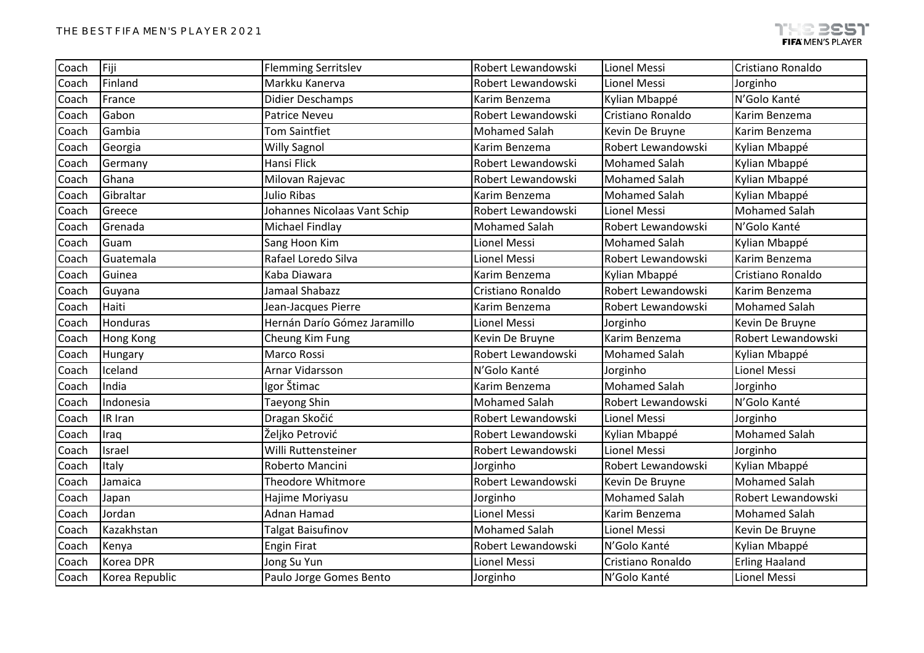| Coach | Fiji           | <b>Flemming Serritslev</b>   | Robert Lewandowski   | Lionel Messi         | Cristiano Ronaldo     |
|-------|----------------|------------------------------|----------------------|----------------------|-----------------------|
| Coach | Finland        | Markku Kanerva               | Robert Lewandowski   | Lionel Messi         | Jorginho              |
| Coach | France         | Didier Deschamps             | Karim Benzema        | Kylian Mbappé        | N'Golo Kanté          |
| Coach | Gabon          | <b>Patrice Neveu</b>         | Robert Lewandowski   | Cristiano Ronaldo    | Karim Benzema         |
| Coach | Gambia         | Tom Saintfiet                | <b>Mohamed Salah</b> | Kevin De Bruyne      | Karim Benzema         |
| Coach | Georgia        | <b>Willy Sagnol</b>          | Karim Benzema        | Robert Lewandowski   | Kylian Mbappé         |
| Coach | Germany        | Hansi Flick                  | Robert Lewandowski   | <b>Mohamed Salah</b> | Kylian Mbappé         |
| Coach | Ghana          | Milovan Rajevac              | Robert Lewandowski   | <b>Mohamed Salah</b> | Kylian Mbappé         |
| Coach | Gibraltar      | Julio Ribas                  | Karim Benzema        | <b>Mohamed Salah</b> | Kylian Mbappé         |
| Coach | Greece         | Johannes Nicolaas Vant Schip | Robert Lewandowski   | <b>Lionel Messi</b>  | <b>Mohamed Salah</b>  |
| Coach | Grenada        | Michael Findlay              | <b>Mohamed Salah</b> | Robert Lewandowski   | N'Golo Kanté          |
| Coach | Guam           | Sang Hoon Kim                | Lionel Messi         | <b>Mohamed Salah</b> | Kylian Mbappé         |
| Coach | Guatemala      | Rafael Loredo Silva          | Lionel Messi         | Robert Lewandowski   | Karim Benzema         |
| Coach | Guinea         | Kaba Diawara                 | Karim Benzema        | Kylian Mbappé        | Cristiano Ronaldo     |
| Coach | Guyana         | Jamaal Shabazz               | Cristiano Ronaldo    | Robert Lewandowski   | Karim Benzema         |
| Coach | Haiti          | Jean-Jacques Pierre          | Karim Benzema        | Robert Lewandowski   | <b>Mohamed Salah</b>  |
| Coach | Honduras       | Hernán Darío Gómez Jaramillo | Lionel Messi         | Jorginho             | Kevin De Bruyne       |
| Coach | Hong Kong      | Cheung Kim Fung              | Kevin De Bruyne      | Karim Benzema        | Robert Lewandowski    |
| Coach | Hungary        | Marco Rossi                  | Robert Lewandowski   | <b>Mohamed Salah</b> | Kylian Mbappé         |
| Coach | Iceland        | Arnar Vidarsson              | N'Golo Kanté         | Jorginho             | Lionel Messi          |
| Coach | India          | Igor Štimac                  | Karim Benzema        | <b>Mohamed Salah</b> | Jorginho              |
| Coach | Indonesia      | Taeyong Shin                 | <b>Mohamed Salah</b> | Robert Lewandowski   | N'Golo Kanté          |
| Coach | IR Iran        | Dragan Skočić                | Robert Lewandowski   | Lionel Messi         | Jorginho              |
| Coach | Iraq           | Željko Petrović              | Robert Lewandowski   | Kylian Mbappé        | <b>Mohamed Salah</b>  |
| Coach | Israel         | Willi Ruttensteiner          | Robert Lewandowski   | Lionel Messi         | Jorginho              |
| Coach | Italy          | Roberto Mancini              | Jorginho             | Robert Lewandowski   | Kylian Mbappé         |
| Coach | Jamaica        | Theodore Whitmore            | Robert Lewandowski   | Kevin De Bruyne      | <b>Mohamed Salah</b>  |
| Coach | Japan          | Hajime Moriyasu              | Jorginho             | <b>Mohamed Salah</b> | Robert Lewandowski    |
| Coach | Jordan         | Adnan Hamad                  | Lionel Messi         | Karim Benzema        | <b>Mohamed Salah</b>  |
| Coach | Kazakhstan     | Talgat Baisufinov            | <b>Mohamed Salah</b> | Lionel Messi         | Kevin De Bruyne       |
| Coach | Kenya          | <b>Engin Firat</b>           | Robert Lewandowski   | N'Golo Kanté         | Kylian Mbappé         |
| Coach | Korea DPR      | Jong Su Yun                  | Lionel Messi         | Cristiano Ronaldo    | <b>Erling Haaland</b> |
| Coach | Korea Republic | Paulo Jorge Gomes Bento      | Jorginho             | N'Golo Kanté         | Lionel Messi          |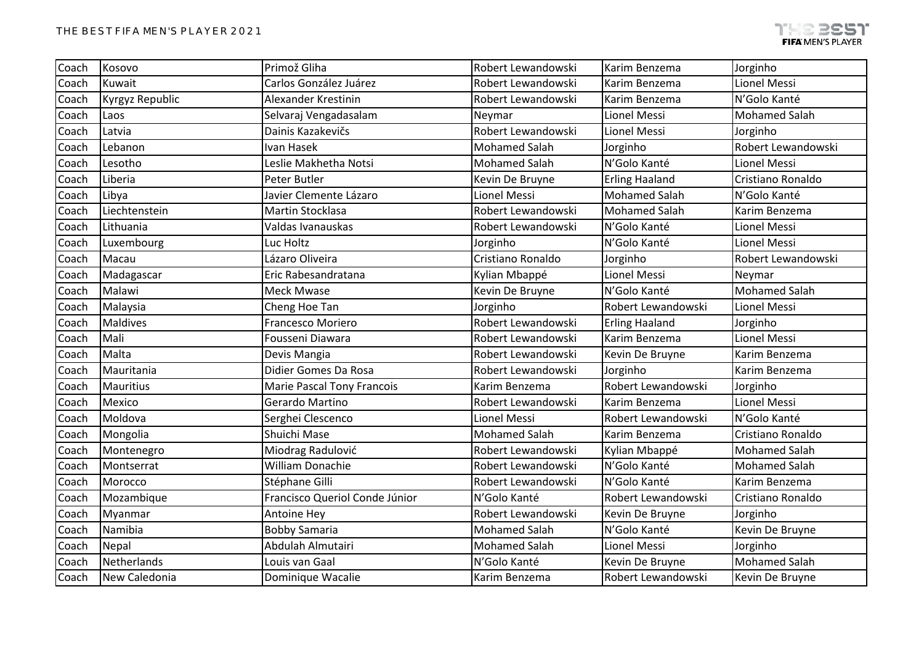| Coach | Kosovo          | Primož Gliha                      | Robert Lewandowski   | Karim Benzema         | Jorginho             |
|-------|-----------------|-----------------------------------|----------------------|-----------------------|----------------------|
| Coach | Kuwait          | Carlos González Juárez            | Robert Lewandowski   | Karim Benzema         | <b>Lionel Messi</b>  |
| Coach | Kyrgyz Republic | Alexander Krestinin               | Robert Lewandowski   | Karim Benzema         | N'Golo Kanté         |
| Coach | Laos            | Selvaraj Vengadasalam             | Neymar               | <b>Lionel Messi</b>   | <b>Mohamed Salah</b> |
| Coach | Latvia          | Dainis Kazakevičs                 | Robert Lewandowski   | Lionel Messi          | Jorginho             |
| Coach | Lebanon         | Ivan Hasek                        | <b>Mohamed Salah</b> | Jorginho              | Robert Lewandowski   |
| Coach | Lesotho         | Leslie Makhetha Notsi             | <b>Mohamed Salah</b> | N'Golo Kanté          | Lionel Messi         |
| Coach | Liberia         | Peter Butler                      | Kevin De Bruyne      | <b>Erling Haaland</b> | Cristiano Ronaldo    |
| Coach | Libya           | Javier Clemente Lázaro            | Lionel Messi         | <b>Mohamed Salah</b>  | N'Golo Kanté         |
| Coach | Liechtenstein   | Martin Stocklasa                  | Robert Lewandowski   | <b>Mohamed Salah</b>  | Karim Benzema        |
| Coach | Lithuania       | Valdas Ivanauskas                 | Robert Lewandowski   | N'Golo Kanté          | Lionel Messi         |
| Coach | Luxembourg      | Luc Holtz                         | Jorginho             | N'Golo Kanté          | Lionel Messi         |
| Coach | Macau           | Lázaro Oliveira                   | Cristiano Ronaldo    | Jorginho              | Robert Lewandowski   |
| Coach | Madagascar      | Eric Rabesandratana               | Kylian Mbappé        | Lionel Messi          | Neymar               |
| Coach | Malawi          | Meck Mwase                        | Kevin De Bruyne      | N'Golo Kanté          | <b>Mohamed Salah</b> |
| Coach | Malaysia        | Cheng Hoe Tan                     | Jorginho             | Robert Lewandowski    | Lionel Messi         |
| Coach | <b>Maldives</b> | Francesco Moriero                 | Robert Lewandowski   | <b>Erling Haaland</b> | Jorginho             |
| Coach | Mali            | Fousseni Diawara                  | Robert Lewandowski   | Karim Benzema         | Lionel Messi         |
| Coach | Malta           | Devis Mangia                      | Robert Lewandowski   | Kevin De Bruyne       | Karim Benzema        |
| Coach | Mauritania      | Didier Gomes Da Rosa              | Robert Lewandowski   | Jorginho              | Karim Benzema        |
| Coach | Mauritius       | <b>Marie Pascal Tony Francois</b> | Karim Benzema        | Robert Lewandowski    | Jorginho             |
| Coach | Mexico          | Gerardo Martino                   | Robert Lewandowski   | Karim Benzema         | Lionel Messi         |
| Coach | Moldova         | Serghei Clescenco                 | Lionel Messi         | Robert Lewandowski    | N'Golo Kanté         |
| Coach | Mongolia        | Shuichi Mase                      | <b>Mohamed Salah</b> | Karim Benzema         | Cristiano Ronaldo    |
| Coach | Montenegro      | Miodrag Radulović                 | Robert Lewandowski   | Kylian Mbappé         | <b>Mohamed Salah</b> |
| Coach | Montserrat      | William Donachie                  | Robert Lewandowski   | N'Golo Kanté          | <b>Mohamed Salah</b> |
| Coach | Morocco         | Stéphane Gilli                    | Robert Lewandowski   | N'Golo Kanté          | Karim Benzema        |
| Coach | Mozambique      | Francisco Queriol Conde Júnior    | N'Golo Kanté         | Robert Lewandowski    | Cristiano Ronaldo    |
| Coach | Myanmar         | Antoine Hey                       | Robert Lewandowski   | Kevin De Bruyne       | Jorginho             |
| Coach | Namibia         | <b>Bobby Samaria</b>              | <b>Mohamed Salah</b> | N'Golo Kanté          | Kevin De Bruyne      |
| Coach | Nepal           | Abdulah Almutairi                 | <b>Mohamed Salah</b> | Lionel Messi          | Jorginho             |
| Coach | Netherlands     | Louis van Gaal                    | N'Golo Kanté         | Kevin De Bruyne       | <b>Mohamed Salah</b> |
| Coach | New Caledonia   | Dominique Wacalie                 | Karim Benzema        | Robert Lewandowski    | Kevin De Bruyne      |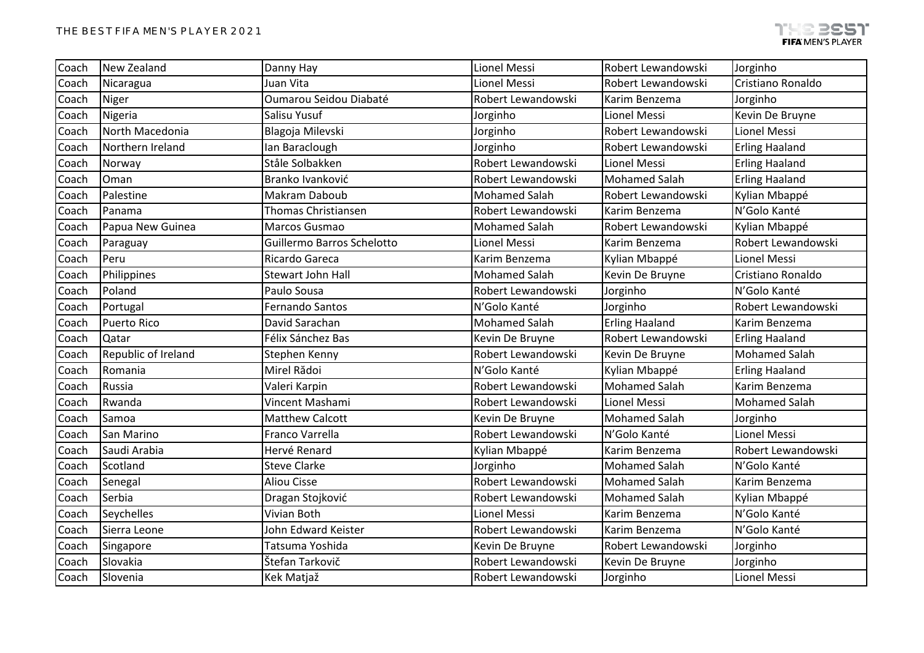| Coach | New Zealand         | Danny Hay                         | Lionel Messi         | Robert Lewandowski    | Jorginho              |
|-------|---------------------|-----------------------------------|----------------------|-----------------------|-----------------------|
| Coach | Nicaragua           | Juan Vita                         | Lionel Messi         | Robert Lewandowski    | Cristiano Ronaldo     |
| Coach | Niger               | Oumarou Seidou Diabaté            | Robert Lewandowski   | Karim Benzema         | Jorginho              |
| Coach | Nigeria             | Salisu Yusuf                      | Jorginho             | Lionel Messi          | Kevin De Bruyne       |
| Coach | North Macedonia     | Blagoja Milevski                  | Jorginho             | Robert Lewandowski    | Lionel Messi          |
| Coach | Northern Ireland    | Ian Baraclough                    | Jorginho             | Robert Lewandowski    | <b>Erling Haaland</b> |
| Coach | Norway              | Ståle Solbakken                   | Robert Lewandowski   | Lionel Messi          | <b>Erling Haaland</b> |
| Coach | Oman                | Branko Ivanković                  | Robert Lewandowski   | <b>Mohamed Salah</b>  | <b>Erling Haaland</b> |
| Coach | Palestine           | Makram Daboub                     | <b>Mohamed Salah</b> | Robert Lewandowski    | Kylian Mbappé         |
| Coach | Panama              | <b>Thomas Christiansen</b>        | Robert Lewandowski   | Karim Benzema         | N'Golo Kanté          |
| Coach | Papua New Guinea    | Marcos Gusmao                     | <b>Mohamed Salah</b> | Robert Lewandowski    | Kylian Mbappé         |
| Coach | Paraguay            | <b>Guillermo Barros Schelotto</b> | Lionel Messi         | Karim Benzema         | Robert Lewandowski    |
| Coach | Peru                | Ricardo Gareca                    | Karim Benzema        | Kylian Mbappé         | <b>Lionel Messi</b>   |
| Coach | Philippines         | <b>Stewart John Hall</b>          | <b>Mohamed Salah</b> | Kevin De Bruyne       | Cristiano Ronaldo     |
| Coach | Poland              | Paulo Sousa                       | Robert Lewandowski   | Jorginho              | N'Golo Kanté          |
| Coach | Portugal            | <b>Fernando Santos</b>            | N'Golo Kanté         | Jorginho              | Robert Lewandowski    |
| Coach | <b>Puerto Rico</b>  | David Sarachan                    | <b>Mohamed Salah</b> | <b>Erling Haaland</b> | Karim Benzema         |
| Coach | Qatar               | Félix Sánchez Bas                 | Kevin De Bruyne      | Robert Lewandowski    | <b>Erling Haaland</b> |
| Coach | Republic of Ireland | Stephen Kenny                     | Robert Lewandowski   | Kevin De Bruyne       | <b>Mohamed Salah</b>  |
| Coach | Romania             | Mirel Rădoi                       | N'Golo Kanté         | Kylian Mbappé         | <b>Erling Haaland</b> |
| Coach | Russia              | Valeri Karpin                     | Robert Lewandowski   | <b>Mohamed Salah</b>  | Karim Benzema         |
| Coach | Rwanda              | Vincent Mashami                   | Robert Lewandowski   | <b>Lionel Messi</b>   | <b>Mohamed Salah</b>  |
| Coach | Samoa               | <b>Matthew Calcott</b>            | Kevin De Bruyne      | <b>Mohamed Salah</b>  | Jorginho              |
| Coach | San Marino          | Franco Varrella                   | Robert Lewandowski   | N'Golo Kanté          | Lionel Messi          |
| Coach | Saudi Arabia        | Hervé Renard                      | Kylian Mbappé        | Karim Benzema         | Robert Lewandowski    |
| Coach | Scotland            | <b>Steve Clarke</b>               | Jorginho             | <b>Mohamed Salah</b>  | N'Golo Kanté          |
| Coach | Senegal             | <b>Aliou Cisse</b>                | Robert Lewandowski   | <b>Mohamed Salah</b>  | Karim Benzema         |
| Coach | Serbia              | Dragan Stojković                  | Robert Lewandowski   | <b>Mohamed Salah</b>  | Kylian Mbappé         |
| Coach | Seychelles          | Vivian Both                       | Lionel Messi         | Karim Benzema         | N'Golo Kanté          |
| Coach | Sierra Leone        | John Edward Keister               | Robert Lewandowski   | Karim Benzema         | N'Golo Kanté          |
| Coach | Singapore           | Tatsuma Yoshida                   | Kevin De Bruyne      | Robert Lewandowski    | Jorginho              |
| Coach | Slovakia            | Štefan Tarkovič                   | Robert Lewandowski   | Kevin De Bruyne       | Jorginho              |
| Coach | Slovenia            | Kek Matjaž                        | Robert Lewandowski   | Jorginho              | Lionel Messi          |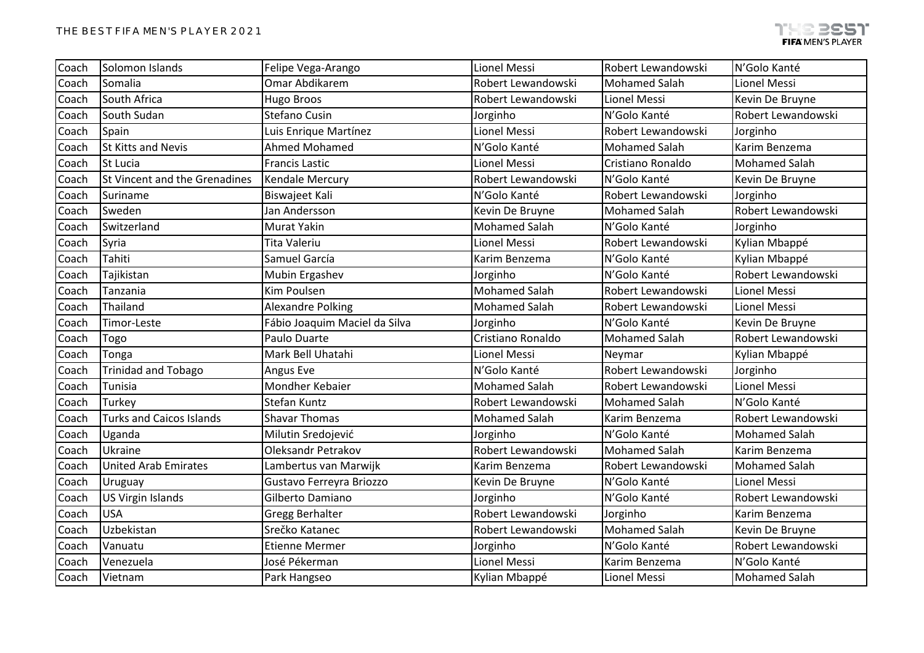| Coach | Solomon Islands                 | Felipe Vega-Arango            | <b>Lionel Messi</b>  | Robert Lewandowski   | N'Golo Kanté         |
|-------|---------------------------------|-------------------------------|----------------------|----------------------|----------------------|
| Coach | Somalia                         | Omar Abdikarem                | Robert Lewandowski   | <b>Mohamed Salah</b> | Lionel Messi         |
| Coach | South Africa                    | Hugo Broos                    | Robert Lewandowski   | Lionel Messi         | Kevin De Bruyne      |
| Coach | South Sudan                     | Stefano Cusin                 | Jorginho             | N'Golo Kanté         | Robert Lewandowski   |
| Coach | Spain                           | Luis Enrique Martínez         | Lionel Messi         | Robert Lewandowski   | Jorginho             |
| Coach | <b>St Kitts and Nevis</b>       | Ahmed Mohamed                 | N'Golo Kanté         | <b>Mohamed Salah</b> | Karim Benzema        |
| Coach | St Lucia                        | <b>Francis Lastic</b>         | Lionel Messi         | Cristiano Ronaldo    | <b>Mohamed Salah</b> |
| Coach | St Vincent and the Grenadines   | Kendale Mercury               | Robert Lewandowski   | N'Golo Kanté         | Kevin De Bruyne      |
| Coach | Suriname                        | Biswajeet Kali                | N'Golo Kanté         | Robert Lewandowski   | Jorginho             |
| Coach | Sweden                          | Jan Andersson                 | Kevin De Bruyne      | <b>Mohamed Salah</b> | Robert Lewandowski   |
| Coach | Switzerland                     | <b>Murat Yakin</b>            | <b>Mohamed Salah</b> | N'Golo Kanté         | Jorginho             |
| Coach | Syria                           | <b>Tita Valeriu</b>           | Lionel Messi         | Robert Lewandowski   | Kylian Mbappé        |
| Coach | Tahiti                          | Samuel García                 | Karim Benzema        | N'Golo Kanté         | Kylian Mbappé        |
| Coach | Tajikistan                      | Mubin Ergashev                | Jorginho             | N'Golo Kanté         | Robert Lewandowski   |
| Coach | Tanzania                        | Kim Poulsen                   | <b>Mohamed Salah</b> | Robert Lewandowski   | Lionel Messi         |
| Coach | Thailand                        | <b>Alexandre Polking</b>      | <b>Mohamed Salah</b> | Robert Lewandowski   | Lionel Messi         |
| Coach | Timor-Leste                     | Fábio Joaquim Maciel da Silva | Jorginho             | N'Golo Kanté         | Kevin De Bruyne      |
| Coach | Togo                            | Paulo Duarte                  | Cristiano Ronaldo    | <b>Mohamed Salah</b> | Robert Lewandowski   |
| Coach | Tonga                           | Mark Bell Uhatahi             | Lionel Messi         | Neymar               | Kylian Mbappé        |
| Coach | <b>Trinidad and Tobago</b>      | Angus Eve                     | N'Golo Kanté         | Robert Lewandowski   | Jorginho             |
| Coach | Tunisia                         | Mondher Kebaier               | <b>Mohamed Salah</b> | Robert Lewandowski   | Lionel Messi         |
| Coach | Turkey                          | Stefan Kuntz                  | Robert Lewandowski   | <b>Mohamed Salah</b> | N'Golo Kanté         |
| Coach | <b>Turks and Caicos Islands</b> | <b>Shavar Thomas</b>          | <b>Mohamed Salah</b> | Karim Benzema        | Robert Lewandowski   |
| Coach | Uganda                          | Milutin Sredojević            | Jorginho             | N'Golo Kanté         | <b>Mohamed Salah</b> |
| Coach | Ukraine                         | Oleksandr Petrakov            | Robert Lewandowski   | <b>Mohamed Salah</b> | Karim Benzema        |
| Coach | <b>United Arab Emirates</b>     | Lambertus van Marwijk         | Karim Benzema        | Robert Lewandowski   | <b>Mohamed Salah</b> |
| Coach | Uruguay                         | Gustavo Ferreyra Briozzo      | Kevin De Bruyne      | N'Golo Kanté         | Lionel Messi         |
| Coach | <b>US Virgin Islands</b>        | Gilberto Damiano              | Jorginho             | N'Golo Kanté         | Robert Lewandowski   |
| Coach | <b>USA</b>                      | <b>Gregg Berhalter</b>        | Robert Lewandowski   | Jorginho             | Karim Benzema        |
| Coach | Uzbekistan                      | Srečko Katanec                | Robert Lewandowski   | <b>Mohamed Salah</b> | Kevin De Bruyne      |
| Coach | Vanuatu                         | <b>Etienne Mermer</b>         | Jorginho             | N'Golo Kanté         | Robert Lewandowski   |
| Coach | Venezuela                       | José Pékerman                 | <b>Lionel Messi</b>  | Karim Benzema        | N'Golo Kanté         |
| Coach | Vietnam                         | Park Hangseo                  | Kylian Mbappé        | <b>Lionel Messi</b>  | Mohamed Salah        |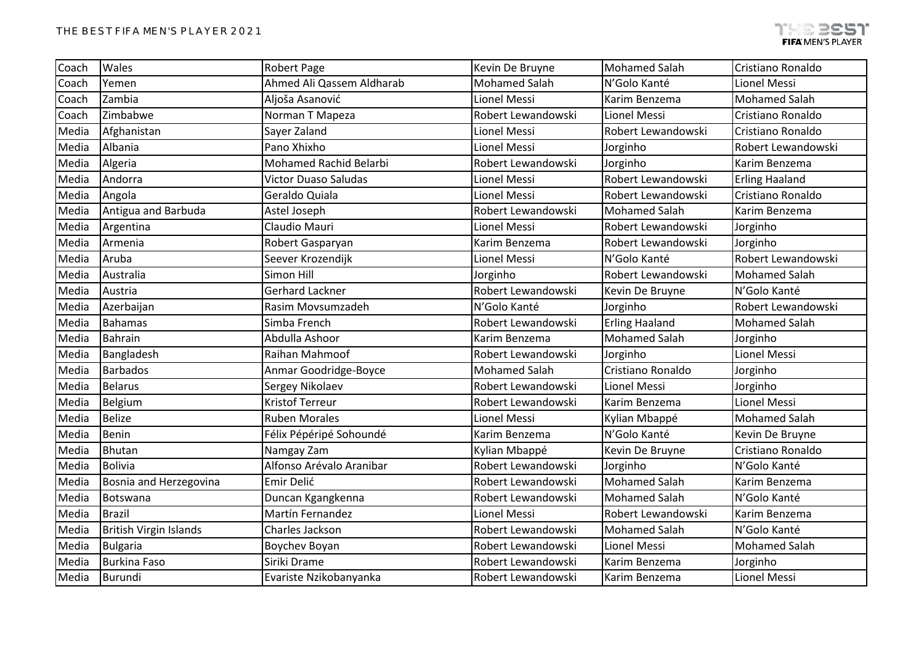| Ahmed Ali Qassem Aldharab<br><b>Mohamed Salah</b><br>Yemen<br>N'Golo Kanté<br>Lionel Messi<br>Coach<br>Zambia<br>Aljoša Asanović<br><b>Mohamed Salah</b><br>Lionel Messi<br>Karim Benzema<br>Coach<br>Zimbabwe<br>Norman T Mapeza<br>Robert Lewandowski<br>Lionel Messi<br>Coach<br>Sayer Zaland<br>Robert Lewandowski<br>Media<br>Afghanistan<br>Lionel Messi<br>Albania<br>Pano Xhixho<br>Media<br>Lionel Messi<br>Jorginho<br>Mohamed Rachid Belarbi<br>Algeria<br>Robert Lewandowski<br>Media<br>Jorginho<br>Karim Benzema<br>Andorra<br>Robert Lewandowski<br>Media<br><b>Erling Haaland</b><br><b>Victor Duaso Saludas</b><br>Lionel Messi<br>Media<br>Angola<br>Geraldo Quiala<br><b>Lionel Messi</b><br>Robert Lewandowski<br>Antigua and Barbuda<br>Media<br>Astel Joseph<br>Robert Lewandowski<br><b>Mohamed Salah</b><br>Karim Benzema<br>Claudio Mauri<br>Media<br>Argentina<br>Lionel Messi<br>Robert Lewandowski<br>Jorginho<br>Media<br>Armenia<br>Robert Gasparyan<br>Robert Lewandowski<br>Jorginho<br>Karim Benzema<br>Aruba<br>Seever Krozendijk<br>Media<br>Lionel Messi<br>N'Golo Kanté<br>Simon Hill<br>Media<br>Australia<br>Robert Lewandowski<br><b>Mohamed Salah</b><br>Jorginho<br>Media<br>Austria<br><b>Gerhard Lackner</b><br>Robert Lewandowski<br>N'Golo Kanté<br>Kevin De Bruyne<br>N'Golo Kanté<br>Media<br>Azerbaijan<br>Rasim Movsumzadeh<br>Jorginho<br><b>Bahamas</b><br>Simba French<br><b>Erling Haaland</b><br><b>Mohamed Salah</b><br>Media<br>Robert Lewandowski<br><b>Mohamed Salah</b><br>Bahrain<br>Abdulla Ashoor<br>Media<br>Karim Benzema<br>Jorginho<br>Raihan Mahmoof<br>Lionel Messi<br>Media<br>Bangladesh<br>Robert Lewandowski<br>Jorginho<br>Cristiano Ronaldo<br>Media<br><b>Barbados</b><br><b>Mohamed Salah</b><br>Jorginho<br>Anmar Goodridge-Boyce<br>Media<br><b>Belarus</b><br>Sergey Nikolaev<br>Robert Lewandowski<br>Lionel Messi<br>Jorginho<br><b>Kristof Terreur</b><br>Lionel Messi<br>Media<br>Belgium<br>Robert Lewandowski<br>Karim Benzema<br><b>Belize</b><br>Media<br><b>Ruben Morales</b><br>Lionel Messi<br><b>Mohamed Salah</b><br>Kylian Mbappé<br>Benin<br>N'Golo Kanté<br>Media<br>Félix Pépéripé Sohoundé<br>Karim Benzema<br>Media<br>Bhutan<br>Namgay Zam<br>Kylian Mbappé<br>Kevin De Bruyne<br>Alfonso Arévalo Aranibar<br>Robert Lewandowski<br>Media<br><b>Bolivia</b><br>N'Golo Kanté<br>Jorginho<br><b>Mohamed Salah</b><br>Bosnia and Herzegovina<br>Emir Delić<br>Media<br>Robert Lewandowski<br>Karim Benzema |       |          |                   |                    |                      |                    |
|-------------------------------------------------------------------------------------------------------------------------------------------------------------------------------------------------------------------------------------------------------------------------------------------------------------------------------------------------------------------------------------------------------------------------------------------------------------------------------------------------------------------------------------------------------------------------------------------------------------------------------------------------------------------------------------------------------------------------------------------------------------------------------------------------------------------------------------------------------------------------------------------------------------------------------------------------------------------------------------------------------------------------------------------------------------------------------------------------------------------------------------------------------------------------------------------------------------------------------------------------------------------------------------------------------------------------------------------------------------------------------------------------------------------------------------------------------------------------------------------------------------------------------------------------------------------------------------------------------------------------------------------------------------------------------------------------------------------------------------------------------------------------------------------------------------------------------------------------------------------------------------------------------------------------------------------------------------------------------------------------------------------------------------------------------------------------------------------------------------------------------------------------------------------------------------------------------------------------------------------------------------------------------------------------------------------------------------------------------------------------------------------------------------------------------------------------------------------------------------------------------------|-------|----------|-------------------|--------------------|----------------------|--------------------|
|                                                                                                                                                                                                                                                                                                                                                                                                                                                                                                                                                                                                                                                                                                                                                                                                                                                                                                                                                                                                                                                                                                                                                                                                                                                                                                                                                                                                                                                                                                                                                                                                                                                                                                                                                                                                                                                                                                                                                                                                                                                                                                                                                                                                                                                                                                                                                                                                                                                                                                             | Coach | Wales    | Robert Page       | Kevin De Bruyne    | <b>Mohamed Salah</b> | Cristiano Ronaldo  |
|                                                                                                                                                                                                                                                                                                                                                                                                                                                                                                                                                                                                                                                                                                                                                                                                                                                                                                                                                                                                                                                                                                                                                                                                                                                                                                                                                                                                                                                                                                                                                                                                                                                                                                                                                                                                                                                                                                                                                                                                                                                                                                                                                                                                                                                                                                                                                                                                                                                                                                             |       |          |                   |                    |                      |                    |
|                                                                                                                                                                                                                                                                                                                                                                                                                                                                                                                                                                                                                                                                                                                                                                                                                                                                                                                                                                                                                                                                                                                                                                                                                                                                                                                                                                                                                                                                                                                                                                                                                                                                                                                                                                                                                                                                                                                                                                                                                                                                                                                                                                                                                                                                                                                                                                                                                                                                                                             |       |          |                   |                    |                      |                    |
|                                                                                                                                                                                                                                                                                                                                                                                                                                                                                                                                                                                                                                                                                                                                                                                                                                                                                                                                                                                                                                                                                                                                                                                                                                                                                                                                                                                                                                                                                                                                                                                                                                                                                                                                                                                                                                                                                                                                                                                                                                                                                                                                                                                                                                                                                                                                                                                                                                                                                                             |       |          |                   |                    |                      | Cristiano Ronaldo  |
|                                                                                                                                                                                                                                                                                                                                                                                                                                                                                                                                                                                                                                                                                                                                                                                                                                                                                                                                                                                                                                                                                                                                                                                                                                                                                                                                                                                                                                                                                                                                                                                                                                                                                                                                                                                                                                                                                                                                                                                                                                                                                                                                                                                                                                                                                                                                                                                                                                                                                                             |       |          |                   |                    |                      | Cristiano Ronaldo  |
|                                                                                                                                                                                                                                                                                                                                                                                                                                                                                                                                                                                                                                                                                                                                                                                                                                                                                                                                                                                                                                                                                                                                                                                                                                                                                                                                                                                                                                                                                                                                                                                                                                                                                                                                                                                                                                                                                                                                                                                                                                                                                                                                                                                                                                                                                                                                                                                                                                                                                                             |       |          |                   |                    |                      | Robert Lewandowski |
|                                                                                                                                                                                                                                                                                                                                                                                                                                                                                                                                                                                                                                                                                                                                                                                                                                                                                                                                                                                                                                                                                                                                                                                                                                                                                                                                                                                                                                                                                                                                                                                                                                                                                                                                                                                                                                                                                                                                                                                                                                                                                                                                                                                                                                                                                                                                                                                                                                                                                                             |       |          |                   |                    |                      |                    |
|                                                                                                                                                                                                                                                                                                                                                                                                                                                                                                                                                                                                                                                                                                                                                                                                                                                                                                                                                                                                                                                                                                                                                                                                                                                                                                                                                                                                                                                                                                                                                                                                                                                                                                                                                                                                                                                                                                                                                                                                                                                                                                                                                                                                                                                                                                                                                                                                                                                                                                             |       |          |                   |                    |                      |                    |
|                                                                                                                                                                                                                                                                                                                                                                                                                                                                                                                                                                                                                                                                                                                                                                                                                                                                                                                                                                                                                                                                                                                                                                                                                                                                                                                                                                                                                                                                                                                                                                                                                                                                                                                                                                                                                                                                                                                                                                                                                                                                                                                                                                                                                                                                                                                                                                                                                                                                                                             |       |          |                   |                    |                      | Cristiano Ronaldo  |
|                                                                                                                                                                                                                                                                                                                                                                                                                                                                                                                                                                                                                                                                                                                                                                                                                                                                                                                                                                                                                                                                                                                                                                                                                                                                                                                                                                                                                                                                                                                                                                                                                                                                                                                                                                                                                                                                                                                                                                                                                                                                                                                                                                                                                                                                                                                                                                                                                                                                                                             |       |          |                   |                    |                      |                    |
|                                                                                                                                                                                                                                                                                                                                                                                                                                                                                                                                                                                                                                                                                                                                                                                                                                                                                                                                                                                                                                                                                                                                                                                                                                                                                                                                                                                                                                                                                                                                                                                                                                                                                                                                                                                                                                                                                                                                                                                                                                                                                                                                                                                                                                                                                                                                                                                                                                                                                                             |       |          |                   |                    |                      |                    |
|                                                                                                                                                                                                                                                                                                                                                                                                                                                                                                                                                                                                                                                                                                                                                                                                                                                                                                                                                                                                                                                                                                                                                                                                                                                                                                                                                                                                                                                                                                                                                                                                                                                                                                                                                                                                                                                                                                                                                                                                                                                                                                                                                                                                                                                                                                                                                                                                                                                                                                             |       |          |                   |                    |                      |                    |
|                                                                                                                                                                                                                                                                                                                                                                                                                                                                                                                                                                                                                                                                                                                                                                                                                                                                                                                                                                                                                                                                                                                                                                                                                                                                                                                                                                                                                                                                                                                                                                                                                                                                                                                                                                                                                                                                                                                                                                                                                                                                                                                                                                                                                                                                                                                                                                                                                                                                                                             |       |          |                   |                    |                      | Robert Lewandowski |
|                                                                                                                                                                                                                                                                                                                                                                                                                                                                                                                                                                                                                                                                                                                                                                                                                                                                                                                                                                                                                                                                                                                                                                                                                                                                                                                                                                                                                                                                                                                                                                                                                                                                                                                                                                                                                                                                                                                                                                                                                                                                                                                                                                                                                                                                                                                                                                                                                                                                                                             |       |          |                   |                    |                      |                    |
|                                                                                                                                                                                                                                                                                                                                                                                                                                                                                                                                                                                                                                                                                                                                                                                                                                                                                                                                                                                                                                                                                                                                                                                                                                                                                                                                                                                                                                                                                                                                                                                                                                                                                                                                                                                                                                                                                                                                                                                                                                                                                                                                                                                                                                                                                                                                                                                                                                                                                                             |       |          |                   |                    |                      |                    |
|                                                                                                                                                                                                                                                                                                                                                                                                                                                                                                                                                                                                                                                                                                                                                                                                                                                                                                                                                                                                                                                                                                                                                                                                                                                                                                                                                                                                                                                                                                                                                                                                                                                                                                                                                                                                                                                                                                                                                                                                                                                                                                                                                                                                                                                                                                                                                                                                                                                                                                             |       |          |                   |                    |                      | Robert Lewandowski |
|                                                                                                                                                                                                                                                                                                                                                                                                                                                                                                                                                                                                                                                                                                                                                                                                                                                                                                                                                                                                                                                                                                                                                                                                                                                                                                                                                                                                                                                                                                                                                                                                                                                                                                                                                                                                                                                                                                                                                                                                                                                                                                                                                                                                                                                                                                                                                                                                                                                                                                             |       |          |                   |                    |                      |                    |
|                                                                                                                                                                                                                                                                                                                                                                                                                                                                                                                                                                                                                                                                                                                                                                                                                                                                                                                                                                                                                                                                                                                                                                                                                                                                                                                                                                                                                                                                                                                                                                                                                                                                                                                                                                                                                                                                                                                                                                                                                                                                                                                                                                                                                                                                                                                                                                                                                                                                                                             |       |          |                   |                    |                      |                    |
|                                                                                                                                                                                                                                                                                                                                                                                                                                                                                                                                                                                                                                                                                                                                                                                                                                                                                                                                                                                                                                                                                                                                                                                                                                                                                                                                                                                                                                                                                                                                                                                                                                                                                                                                                                                                                                                                                                                                                                                                                                                                                                                                                                                                                                                                                                                                                                                                                                                                                                             |       |          |                   |                    |                      |                    |
|                                                                                                                                                                                                                                                                                                                                                                                                                                                                                                                                                                                                                                                                                                                                                                                                                                                                                                                                                                                                                                                                                                                                                                                                                                                                                                                                                                                                                                                                                                                                                                                                                                                                                                                                                                                                                                                                                                                                                                                                                                                                                                                                                                                                                                                                                                                                                                                                                                                                                                             |       |          |                   |                    |                      |                    |
|                                                                                                                                                                                                                                                                                                                                                                                                                                                                                                                                                                                                                                                                                                                                                                                                                                                                                                                                                                                                                                                                                                                                                                                                                                                                                                                                                                                                                                                                                                                                                                                                                                                                                                                                                                                                                                                                                                                                                                                                                                                                                                                                                                                                                                                                                                                                                                                                                                                                                                             |       |          |                   |                    |                      |                    |
|                                                                                                                                                                                                                                                                                                                                                                                                                                                                                                                                                                                                                                                                                                                                                                                                                                                                                                                                                                                                                                                                                                                                                                                                                                                                                                                                                                                                                                                                                                                                                                                                                                                                                                                                                                                                                                                                                                                                                                                                                                                                                                                                                                                                                                                                                                                                                                                                                                                                                                             |       |          |                   |                    |                      |                    |
|                                                                                                                                                                                                                                                                                                                                                                                                                                                                                                                                                                                                                                                                                                                                                                                                                                                                                                                                                                                                                                                                                                                                                                                                                                                                                                                                                                                                                                                                                                                                                                                                                                                                                                                                                                                                                                                                                                                                                                                                                                                                                                                                                                                                                                                                                                                                                                                                                                                                                                             |       |          |                   |                    |                      |                    |
|                                                                                                                                                                                                                                                                                                                                                                                                                                                                                                                                                                                                                                                                                                                                                                                                                                                                                                                                                                                                                                                                                                                                                                                                                                                                                                                                                                                                                                                                                                                                                                                                                                                                                                                                                                                                                                                                                                                                                                                                                                                                                                                                                                                                                                                                                                                                                                                                                                                                                                             |       |          |                   |                    |                      | Kevin De Bruyne    |
|                                                                                                                                                                                                                                                                                                                                                                                                                                                                                                                                                                                                                                                                                                                                                                                                                                                                                                                                                                                                                                                                                                                                                                                                                                                                                                                                                                                                                                                                                                                                                                                                                                                                                                                                                                                                                                                                                                                                                                                                                                                                                                                                                                                                                                                                                                                                                                                                                                                                                                             |       |          |                   |                    |                      | Cristiano Ronaldo  |
|                                                                                                                                                                                                                                                                                                                                                                                                                                                                                                                                                                                                                                                                                                                                                                                                                                                                                                                                                                                                                                                                                                                                                                                                                                                                                                                                                                                                                                                                                                                                                                                                                                                                                                                                                                                                                                                                                                                                                                                                                                                                                                                                                                                                                                                                                                                                                                                                                                                                                                             |       |          |                   |                    |                      |                    |
|                                                                                                                                                                                                                                                                                                                                                                                                                                                                                                                                                                                                                                                                                                                                                                                                                                                                                                                                                                                                                                                                                                                                                                                                                                                                                                                                                                                                                                                                                                                                                                                                                                                                                                                                                                                                                                                                                                                                                                                                                                                                                                                                                                                                                                                                                                                                                                                                                                                                                                             |       |          |                   |                    |                      |                    |
|                                                                                                                                                                                                                                                                                                                                                                                                                                                                                                                                                                                                                                                                                                                                                                                                                                                                                                                                                                                                                                                                                                                                                                                                                                                                                                                                                                                                                                                                                                                                                                                                                                                                                                                                                                                                                                                                                                                                                                                                                                                                                                                                                                                                                                                                                                                                                                                                                                                                                                             | Media | Botswana | Duncan Kgangkenna | Robert Lewandowski | <b>Mohamed Salah</b> | N'Golo Kanté       |
| Martín Fernandez<br>Media<br><b>Brazil</b><br>Lionel Messi<br>Robert Lewandowski<br>Karim Benzema                                                                                                                                                                                                                                                                                                                                                                                                                                                                                                                                                                                                                                                                                                                                                                                                                                                                                                                                                                                                                                                                                                                                                                                                                                                                                                                                                                                                                                                                                                                                                                                                                                                                                                                                                                                                                                                                                                                                                                                                                                                                                                                                                                                                                                                                                                                                                                                                           |       |          |                   |                    |                      |                    |
| Charles Jackson<br>Robert Lewandowski<br><b>Mohamed Salah</b><br>N'Golo Kanté<br>Media<br><b>British Virgin Islands</b>                                                                                                                                                                                                                                                                                                                                                                                                                                                                                                                                                                                                                                                                                                                                                                                                                                                                                                                                                                                                                                                                                                                                                                                                                                                                                                                                                                                                                                                                                                                                                                                                                                                                                                                                                                                                                                                                                                                                                                                                                                                                                                                                                                                                                                                                                                                                                                                     |       |          |                   |                    |                      |                    |
| Media<br>Lionel Messi<br><b>Mohamed Salah</b><br><b>Bulgaria</b><br>Robert Lewandowski<br>Boychev Boyan                                                                                                                                                                                                                                                                                                                                                                                                                                                                                                                                                                                                                                                                                                                                                                                                                                                                                                                                                                                                                                                                                                                                                                                                                                                                                                                                                                                                                                                                                                                                                                                                                                                                                                                                                                                                                                                                                                                                                                                                                                                                                                                                                                                                                                                                                                                                                                                                     |       |          |                   |                    |                      |                    |
| Siriki Drame<br><b>Burkina Faso</b><br>Robert Lewandowski<br>Jorginho<br>Media<br>Karim Benzema                                                                                                                                                                                                                                                                                                                                                                                                                                                                                                                                                                                                                                                                                                                                                                                                                                                                                                                                                                                                                                                                                                                                                                                                                                                                                                                                                                                                                                                                                                                                                                                                                                                                                                                                                                                                                                                                                                                                                                                                                                                                                                                                                                                                                                                                                                                                                                                                             |       |          |                   |                    |                      |                    |
| Media<br>Burundi<br>Evariste Nzikobanyanka<br>Lionel Messi<br>Robert Lewandowski<br>Karim Benzema                                                                                                                                                                                                                                                                                                                                                                                                                                                                                                                                                                                                                                                                                                                                                                                                                                                                                                                                                                                                                                                                                                                                                                                                                                                                                                                                                                                                                                                                                                                                                                                                                                                                                                                                                                                                                                                                                                                                                                                                                                                                                                                                                                                                                                                                                                                                                                                                           |       |          |                   |                    |                      |                    |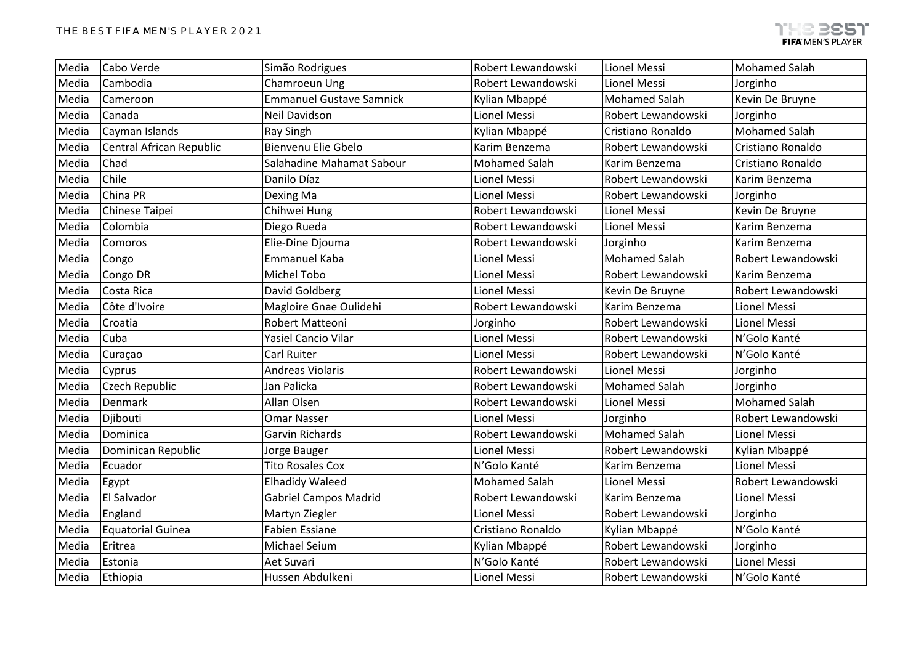| Media | Cabo Verde               | Simão Rodrigues                 | Robert Lewandowski   | <b>Lionel Messi</b>  | <b>Mohamed Salah</b> |
|-------|--------------------------|---------------------------------|----------------------|----------------------|----------------------|
| Media | Cambodia                 | Chamroeun Ung                   | Robert Lewandowski   | Lionel Messi         | Jorginho             |
| Media | Cameroon                 | <b>Emmanuel Gustave Samnick</b> | Kylian Mbappé        | <b>Mohamed Salah</b> | Kevin De Bruyne      |
| Media | Canada                   | Neil Davidson                   | <b>Lionel Messi</b>  | Robert Lewandowski   | Jorginho             |
| Media | Cayman Islands           | Ray Singh                       | Kylian Mbappé        | Cristiano Ronaldo    | <b>Mohamed Salah</b> |
| Media | Central African Republic | Bienvenu Elie Gbelo             | Karim Benzema        | Robert Lewandowski   | Cristiano Ronaldo    |
| Media | Chad                     | Salahadine Mahamat Sabour       | <b>Mohamed Salah</b> | Karim Benzema        | Cristiano Ronaldo    |
| Media | Chile                    | Danilo Díaz                     | Lionel Messi         | Robert Lewandowski   | Karim Benzema        |
| Media | China PR                 | Dexing Ma                       | Lionel Messi         | Robert Lewandowski   | Jorginho             |
| Media | Chinese Taipei           | Chihwei Hung                    | Robert Lewandowski   | Lionel Messi         | Kevin De Bruyne      |
| Media | Colombia                 | Diego Rueda                     | Robert Lewandowski   | <b>Lionel Messi</b>  | Karim Benzema        |
| Media | Comoros                  | Elie-Dine Djouma                | Robert Lewandowski   | Jorginho             | Karim Benzema        |
| Media | Congo                    | <b>Emmanuel Kaba</b>            | Lionel Messi         | <b>Mohamed Salah</b> | Robert Lewandowski   |
| Media | Congo DR                 | Michel Tobo                     | Lionel Messi         | Robert Lewandowski   | Karim Benzema        |
| Media | Costa Rica               | David Goldberg                  | Lionel Messi         | Kevin De Bruyne      | Robert Lewandowski   |
| Media | Côte d'Ivoire            | Magloire Gnae Oulidehi          | Robert Lewandowski   | Karim Benzema        | Lionel Messi         |
| Media | Croatia                  | Robert Matteoni                 | Jorginho             | Robert Lewandowski   | Lionel Messi         |
| Media | Cuba                     | <b>Yasiel Cancio Vilar</b>      | Lionel Messi         | Robert Lewandowski   | N'Golo Kanté         |
| Media | Curaçao                  | Carl Ruiter                     | Lionel Messi         | Robert Lewandowski   | N'Golo Kanté         |
| Media | Cyprus                   | <b>Andreas Violaris</b>         | Robert Lewandowski   | Lionel Messi         | Jorginho             |
| Media | Czech Republic           | Jan Palicka                     | Robert Lewandowski   | <b>Mohamed Salah</b> | Jorginho             |
| Media | Denmark                  | Allan Olsen                     | Robert Lewandowski   | Lionel Messi         | <b>Mohamed Salah</b> |
| Media | Djibouti                 | <b>Omar Nasser</b>              | Lionel Messi         | Jorginho             | Robert Lewandowski   |
| Media | Dominica                 | Garvin Richards                 | Robert Lewandowski   | <b>Mohamed Salah</b> | Lionel Messi         |
| Media | Dominican Republic       | Jorge Bauger                    | Lionel Messi         | Robert Lewandowski   | Kylian Mbappé        |
| Media | Ecuador                  | <b>Tito Rosales Cox</b>         | N'Golo Kanté         | Karim Benzema        | Lionel Messi         |
| Media | Egypt                    | <b>Elhadidy Waleed</b>          | <b>Mohamed Salah</b> | Lionel Messi         | Robert Lewandowski   |
| Media | El Salvador              | <b>Gabriel Campos Madrid</b>    | Robert Lewandowski   | Karim Benzema        | Lionel Messi         |
| Media | England                  | Martyn Ziegler                  | Lionel Messi         | Robert Lewandowski   | Jorginho             |
| Media | <b>Equatorial Guinea</b> | <b>Fabien Essiane</b>           | Cristiano Ronaldo    | Kylian Mbappé        | N'Golo Kanté         |
| Media | Eritrea                  | Michael Seium                   | Kylian Mbappé        | Robert Lewandowski   | Jorginho             |
| Media | Estonia                  | Aet Suvari                      | N'Golo Kanté         | Robert Lewandowski   | Lionel Messi         |
| Media | Ethiopia                 | Hussen Abdulkeni                | Lionel Messi         | Robert Lewandowski   | N'Golo Kanté         |
|       |                          |                                 |                      |                      |                      |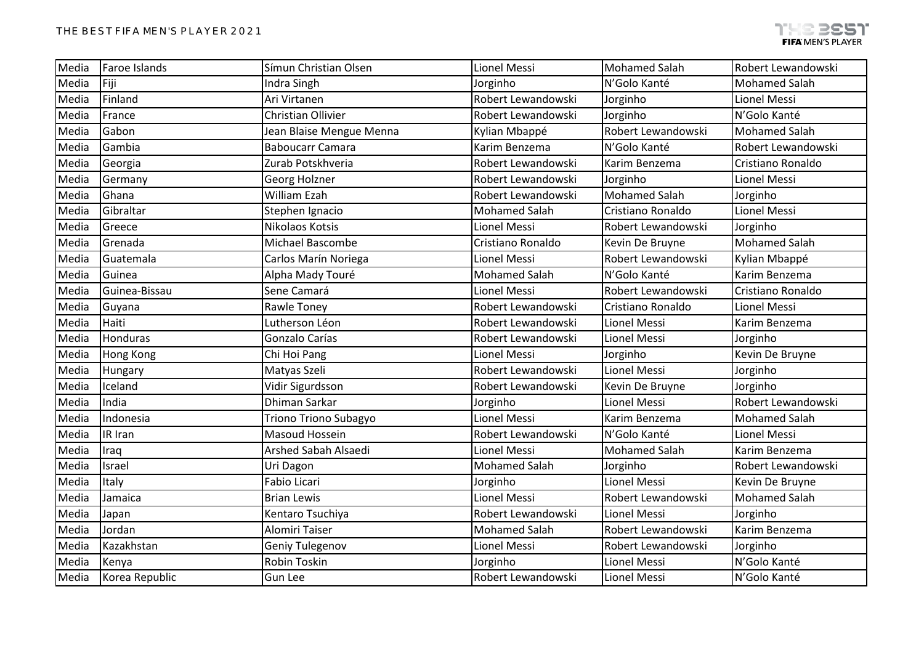| Media | Faroe Islands  | Símun Christian Olsen     | Lionel Messi         | <b>Mohamed Salah</b> | Robert Lewandowski   |
|-------|----------------|---------------------------|----------------------|----------------------|----------------------|
| Media | Fiji           | Indra Singh               | Jorginho             | N'Golo Kanté         | <b>Mohamed Salah</b> |
| Media | Finland        | Ari Virtanen              | Robert Lewandowski   | Jorginho             | Lionel Messi         |
| Media | France         | <b>Christian Ollivier</b> | Robert Lewandowski   | Jorginho             | N'Golo Kanté         |
| Media | Gabon          | Jean Blaise Mengue Menna  | Kylian Mbappé        | Robert Lewandowski   | <b>Mohamed Salah</b> |
| Media | Gambia         | <b>Baboucarr Camara</b>   | Karim Benzema        | N'Golo Kanté         | Robert Lewandowski   |
| Media | Georgia        | Zurab Potskhveria         | Robert Lewandowski   | Karim Benzema        | Cristiano Ronaldo    |
| Media | Germany        | Georg Holzner             | Robert Lewandowski   | Jorginho             | Lionel Messi         |
| Media | Ghana          | <b>William Ezah</b>       | Robert Lewandowski   | <b>Mohamed Salah</b> | Jorginho             |
| Media | Gibraltar      | Stephen Ignacio           | <b>Mohamed Salah</b> | Cristiano Ronaldo    | Lionel Messi         |
| Media | Greece         | Nikolaos Kotsis           | Lionel Messi         | Robert Lewandowski   | Jorginho             |
| Media | Grenada        | Michael Bascombe          | Cristiano Ronaldo    | Kevin De Bruyne      | <b>Mohamed Salah</b> |
| Media | Guatemala      | Carlos Marín Noriega      | Lionel Messi         | Robert Lewandowski   | Kylian Mbappé        |
| Media | Guinea         | Alpha Mady Touré          | <b>Mohamed Salah</b> | N'Golo Kanté         | Karim Benzema        |
| Media | Guinea-Bissau  | Sene Camará               | Lionel Messi         | Robert Lewandowski   | Cristiano Ronaldo    |
| Media | Guyana         | Rawle Toney               | Robert Lewandowski   | Cristiano Ronaldo    | Lionel Messi         |
| Media | <b>Haiti</b>   | Lutherson Léon            | Robert Lewandowski   | <b>Lionel Messi</b>  | Karim Benzema        |
| Media | Honduras       | Gonzalo Carías            | Robert Lewandowski   | Lionel Messi         | Jorginho             |
| Media | Hong Kong      | Chi Hoi Pang              | Lionel Messi         | Jorginho             | Kevin De Bruyne      |
| Media | Hungary        | Matyas Szeli              | Robert Lewandowski   | Lionel Messi         | Jorginho             |
| Media | Iceland        | Vidir Sigurdsson          | Robert Lewandowski   | Kevin De Bruyne      | Jorginho             |
| Media | India          | Dhiman Sarkar             | Jorginho             | Lionel Messi         | Robert Lewandowski   |
| Media | Indonesia      | Triono Triono Subagyo     | Lionel Messi         | Karim Benzema        | <b>Mohamed Salah</b> |
| Media | IR Iran        | Masoud Hossein            | Robert Lewandowski   | N'Golo Kanté         | Lionel Messi         |
| Media | Iraq           | Arshed Sabah Alsaedi      | Lionel Messi         | <b>Mohamed Salah</b> | Karim Benzema        |
| Media | Israel         | Uri Dagon                 | <b>Mohamed Salah</b> | Jorginho             | Robert Lewandowski   |
| Media | Italy          | Fabio Licari              | Jorginho             | Lionel Messi         | Kevin De Bruyne      |
| Media | Jamaica        | <b>Brian Lewis</b>        | Lionel Messi         | Robert Lewandowski   | <b>Mohamed Salah</b> |
| Media | Japan          | Kentaro Tsuchiya          | Robert Lewandowski   | Lionel Messi         | Jorginho             |
| Media | Jordan         | <b>Alomiri Taiser</b>     | <b>Mohamed Salah</b> | Robert Lewandowski   | Karim Benzema        |
| Media | Kazakhstan     | Geniy Tulegenov           | <b>Lionel Messi</b>  | Robert Lewandowski   | Jorginho             |
| Media | Kenya          | Robin Toskin              | Jorginho             | Lionel Messi         | N'Golo Kanté         |
| Media | Korea Republic | <b>Gun Lee</b>            | Robert Lewandowski   | Lionel Messi         | N'Golo Kanté         |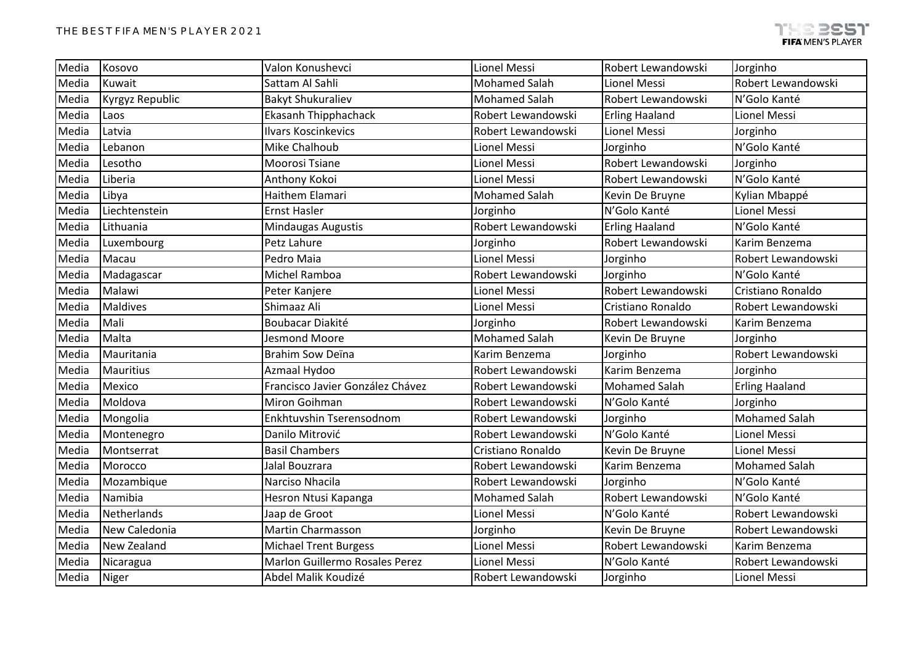| Media | Kosovo                 | Valon Konushevci                 | Lionel Messi         | Robert Lewandowski    | Jorginho              |
|-------|------------------------|----------------------------------|----------------------|-----------------------|-----------------------|
| Media | Kuwait                 | Sattam Al Sahli                  | <b>Mohamed Salah</b> | Lionel Messi          | Robert Lewandowski    |
| Media | <b>Kyrgyz Republic</b> | <b>Bakyt Shukuraliev</b>         | <b>Mohamed Salah</b> | Robert Lewandowski    | N'Golo Kanté          |
| Media | Laos                   | Ekasanh Thipphachack             | Robert Lewandowski   | <b>Erling Haaland</b> | Lionel Messi          |
| Media | Latvia                 | <b>Ilvars Koscinkevics</b>       | Robert Lewandowski   | Lionel Messi          | Jorginho              |
| Media | Lebanon                | Mike Chalhoub                    | Lionel Messi         | Jorginho              | N'Golo Kanté          |
| Media | Lesotho                | Moorosi Tsiane                   | Lionel Messi         | Robert Lewandowski    | Jorginho              |
| Media | Liberia                | Anthony Kokoi                    | Lionel Messi         | Robert Lewandowski    | N'Golo Kanté          |
| Media | Libya                  | Haithem Elamari                  | <b>Mohamed Salah</b> | Kevin De Bruyne       | Kylian Mbappé         |
| Media | Liechtenstein          | <b>Ernst Hasler</b>              | Jorginho             | N'Golo Kanté          | Lionel Messi          |
| Media | Lithuania              | <b>Mindaugas Augustis</b>        | Robert Lewandowski   | <b>Erling Haaland</b> | N'Golo Kanté          |
| Media | Luxembourg             | Petz Lahure                      | Jorginho             | Robert Lewandowski    | Karim Benzema         |
| Media | Macau                  | Pedro Maia                       | Lionel Messi         | Jorginho              | Robert Lewandowski    |
| Media | Madagascar             | Michel Ramboa                    | Robert Lewandowski   | Jorginho              | N'Golo Kanté          |
| Media | Malawi                 | Peter Kanjere                    | Lionel Messi         | Robert Lewandowski    | Cristiano Ronaldo     |
| Media | <b>Maldives</b>        | Shimaaz Ali                      | Lionel Messi         | Cristiano Ronaldo     | Robert Lewandowski    |
| Media | Mali                   | <b>Boubacar Diakité</b>          | Jorginho             | Robert Lewandowski    | Karim Benzema         |
| Media | Malta                  | <b>Jesmond Moore</b>             | <b>Mohamed Salah</b> | Kevin De Bruyne       | Jorginho              |
| Media | Mauritania             | Brahim Sow Deïna                 | Karim Benzema        | Jorginho              | Robert Lewandowski    |
| Media | <b>Mauritius</b>       | Azmaal Hydoo                     | Robert Lewandowski   | Karim Benzema         | Jorginho              |
| Media | Mexico                 | Francisco Javier González Chávez | Robert Lewandowski   | <b>Mohamed Salah</b>  | <b>Erling Haaland</b> |
| Media | Moldova                | Miron Goihman                    | Robert Lewandowski   | N'Golo Kanté          | Jorginho              |
| Media | Mongolia               | Enkhtuvshin Tserensodnom         | Robert Lewandowski   | Jorginho              | <b>Mohamed Salah</b>  |
| Media | Montenegro             | Danilo Mitrović                  | Robert Lewandowski   | N'Golo Kanté          | Lionel Messi          |
| Media | Montserrat             | <b>Basil Chambers</b>            | Cristiano Ronaldo    | Kevin De Bruyne       | Lionel Messi          |
| Media | Morocco                | Jalal Bouzrara                   | Robert Lewandowski   | Karim Benzema         | <b>Mohamed Salah</b>  |
| Media | Mozambique             | Narciso Nhacila                  | Robert Lewandowski   | Jorginho              | N'Golo Kanté          |
| Media | Namibia                | Hesron Ntusi Kapanga             | <b>Mohamed Salah</b> | Robert Lewandowski    | N'Golo Kanté          |
| Media | Netherlands            | Jaap de Groot                    | Lionel Messi         | N'Golo Kanté          | Robert Lewandowski    |
| Media | New Caledonia          | <b>Martin Charmasson</b>         | Jorginho             | Kevin De Bruyne       | Robert Lewandowski    |
| Media | New Zealand            | <b>Michael Trent Burgess</b>     | Lionel Messi         | Robert Lewandowski    | Karim Benzema         |
| Media | Nicaragua              | Marlon Guillermo Rosales Perez   | Lionel Messi         | N'Golo Kanté          | Robert Lewandowski    |
| Media | <b>Niger</b>           | Abdel Malik Koudizé              | Robert Lewandowski   | Jorginho              | Lionel Messi          |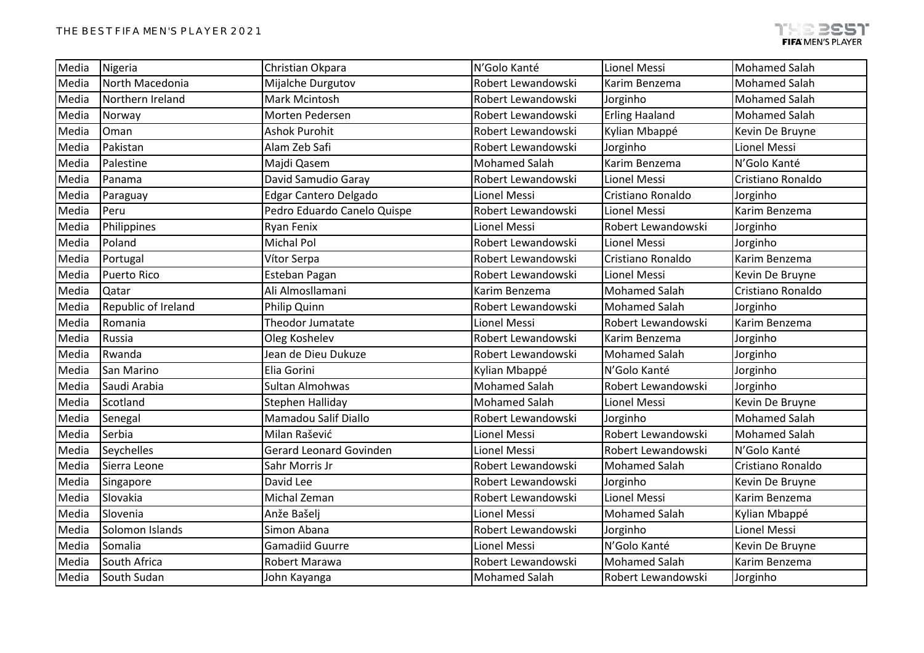| Media | Nigeria             | Christian Okpara               | N'Golo Kanté         | <b>Lionel Messi</b>   | <b>Mohamed Salah</b> |
|-------|---------------------|--------------------------------|----------------------|-----------------------|----------------------|
| Media | North Macedonia     | Mijalche Durgutov              | Robert Lewandowski   | Karim Benzema         | <b>Mohamed Salah</b> |
| Media | Northern Ireland    | <b>Mark Mcintosh</b>           | Robert Lewandowski   | Jorginho              | <b>Mohamed Salah</b> |
| Media | Norway              | Morten Pedersen                | Robert Lewandowski   | <b>Erling Haaland</b> | <b>Mohamed Salah</b> |
| Media | Oman                | <b>Ashok Purohit</b>           | Robert Lewandowski   | Kylian Mbappé         | Kevin De Bruyne      |
| Media | Pakistan            | Alam Zeb Safi                  | Robert Lewandowski   | Jorginho              | Lionel Messi         |
| Media | Palestine           | Majdi Qasem                    | <b>Mohamed Salah</b> | Karim Benzema         | N'Golo Kanté         |
| Media | Panama              | David Samudio Garay            | Robert Lewandowski   | Lionel Messi          | Cristiano Ronaldo    |
| Media | Paraguay            | Edgar Cantero Delgado          | Lionel Messi         | Cristiano Ronaldo     | Jorginho             |
| Media | Peru                | Pedro Eduardo Canelo Quispe    | Robert Lewandowski   | <b>Lionel Messi</b>   | Karim Benzema        |
| Media | Philippines         | Ryan Fenix                     | Lionel Messi         | Robert Lewandowski    | Jorginho             |
| Media | Poland              | <b>Michal Pol</b>              | Robert Lewandowski   | Lionel Messi          | Jorginho             |
| Media | Portugal            | Vítor Serpa                    | Robert Lewandowski   | Cristiano Ronaldo     | Karim Benzema        |
| Media | <b>Puerto Rico</b>  | Esteban Pagan                  | Robert Lewandowski   | <b>Lionel Messi</b>   | Kevin De Bruyne      |
| Media | Qatar               | Ali Almosllamani               | Karim Benzema        | <b>Mohamed Salah</b>  | Cristiano Ronaldo    |
| Media | Republic of Ireland | Philip Quinn                   | Robert Lewandowski   | <b>Mohamed Salah</b>  | Jorginho             |
| Media | Romania             | Theodor Jumatate               | Lionel Messi         | Robert Lewandowski    | Karim Benzema        |
| Media | Russia              | Oleg Koshelev                  | Robert Lewandowski   | Karim Benzema         | Jorginho             |
| Media | Rwanda              | Jean de Dieu Dukuze            | Robert Lewandowski   | <b>Mohamed Salah</b>  | Jorginho             |
| Media | San Marino          | Elia Gorini                    | Kylian Mbappé        | N'Golo Kanté          | Jorginho             |
| Media | Saudi Arabia        | Sultan Almohwas                | <b>Mohamed Salah</b> | Robert Lewandowski    | Jorginho             |
| Media | Scotland            | Stephen Halliday               | <b>Mohamed Salah</b> | Lionel Messi          | Kevin De Bruyne      |
| Media | Senegal             | Mamadou Salif Diallo           | Robert Lewandowski   | Jorginho              | <b>Mohamed Salah</b> |
| Media | Serbia              | Milan Rašević                  | Lionel Messi         | Robert Lewandowski    | <b>Mohamed Salah</b> |
| Media | Seychelles          | <b>Gerard Leonard Govinden</b> | Lionel Messi         | Robert Lewandowski    | N'Golo Kanté         |
| Media | Sierra Leone        | Sahr Morris Jr                 | Robert Lewandowski   | <b>Mohamed Salah</b>  | Cristiano Ronaldo    |
| Media | Singapore           | David Lee                      | Robert Lewandowski   | Jorginho              | Kevin De Bruyne      |
| Media | Slovakia            | Michal Zeman                   | Robert Lewandowski   | <b>Lionel Messi</b>   | Karim Benzema        |
| Media | Slovenia            | Anže Bašelj                    | Lionel Messi         | <b>Mohamed Salah</b>  | Kylian Mbappé        |
| Media | Solomon Islands     | Simon Abana                    | Robert Lewandowski   | Jorginho              | Lionel Messi         |
| Media | Somalia             | <b>Gamadiid Guurre</b>         | Lionel Messi         | N'Golo Kanté          | Kevin De Bruyne      |
| Media | South Africa        | Robert Marawa                  | Robert Lewandowski   | <b>Mohamed Salah</b>  | Karim Benzema        |
| Media | South Sudan         | John Kayanga                   | <b>Mohamed Salah</b> | Robert Lewandowski    | Jorginho             |